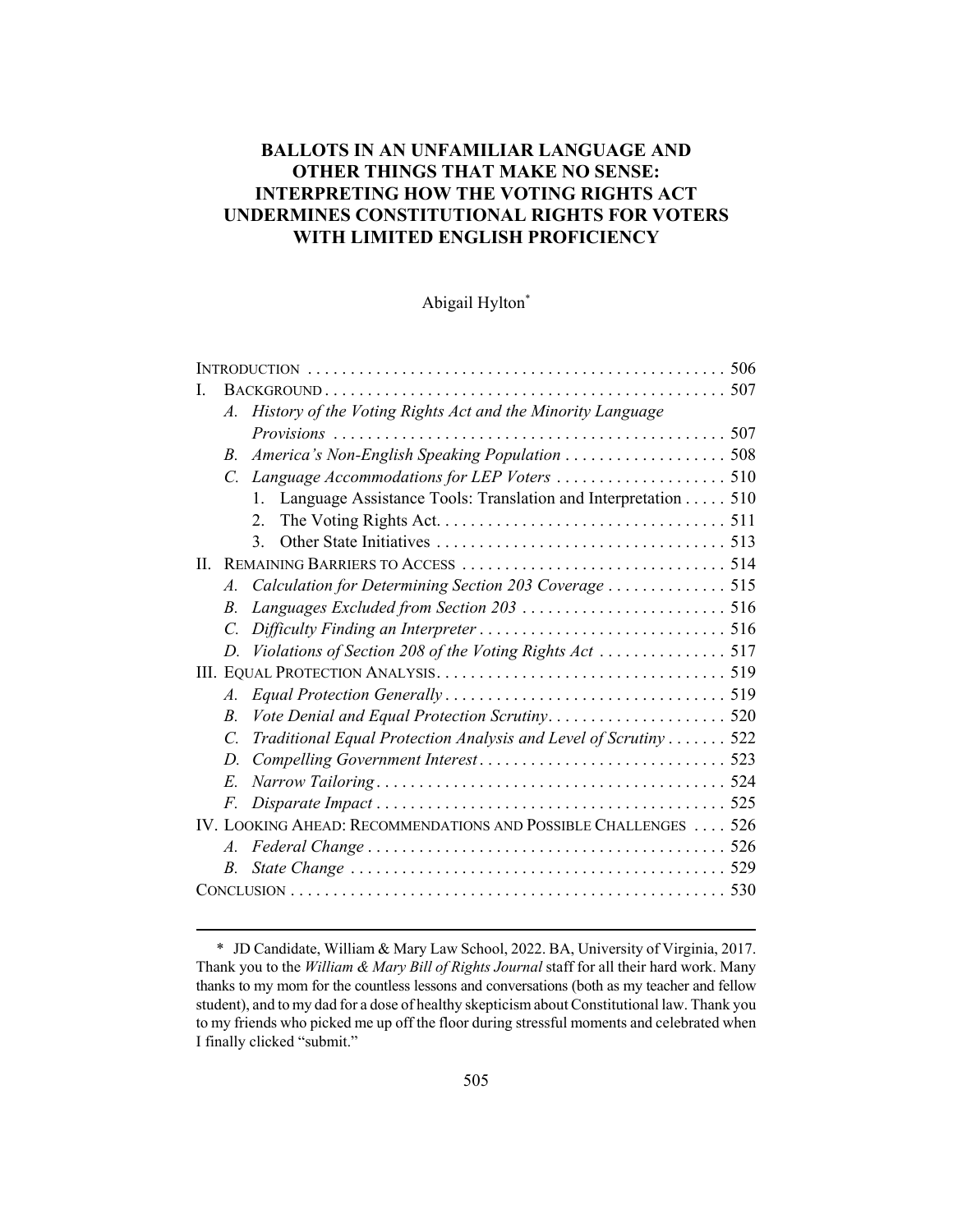# **BALLOTS IN AN UNFAMILIAR LANGUAGE AND OTHER THINGS THAT MAKE NO SENSE: INTERPRETING HOW THE VOTING RIGHTS ACT UNDERMINES CONSTITUTIONAL RIGHTS FOR VOTERS WITH LIMITED ENGLISH PROFICIENCY**

# Abigail Hylton\*

<sup>\*</sup> JD Candidate, William & Mary Law School, 2022. BA, University of Virginia, 2017. Thank you to the *William & Mary Bill of Rights Journal* staff for all their hard work. Many thanks to my mom for the countless lessons and conversations (both as my teacher and fellow student), and to my dad for a dose of healthy skepticism about Constitutional law. Thank you to my friends who picked me up off the floor during stressful moments and celebrated when I finally clicked "submit."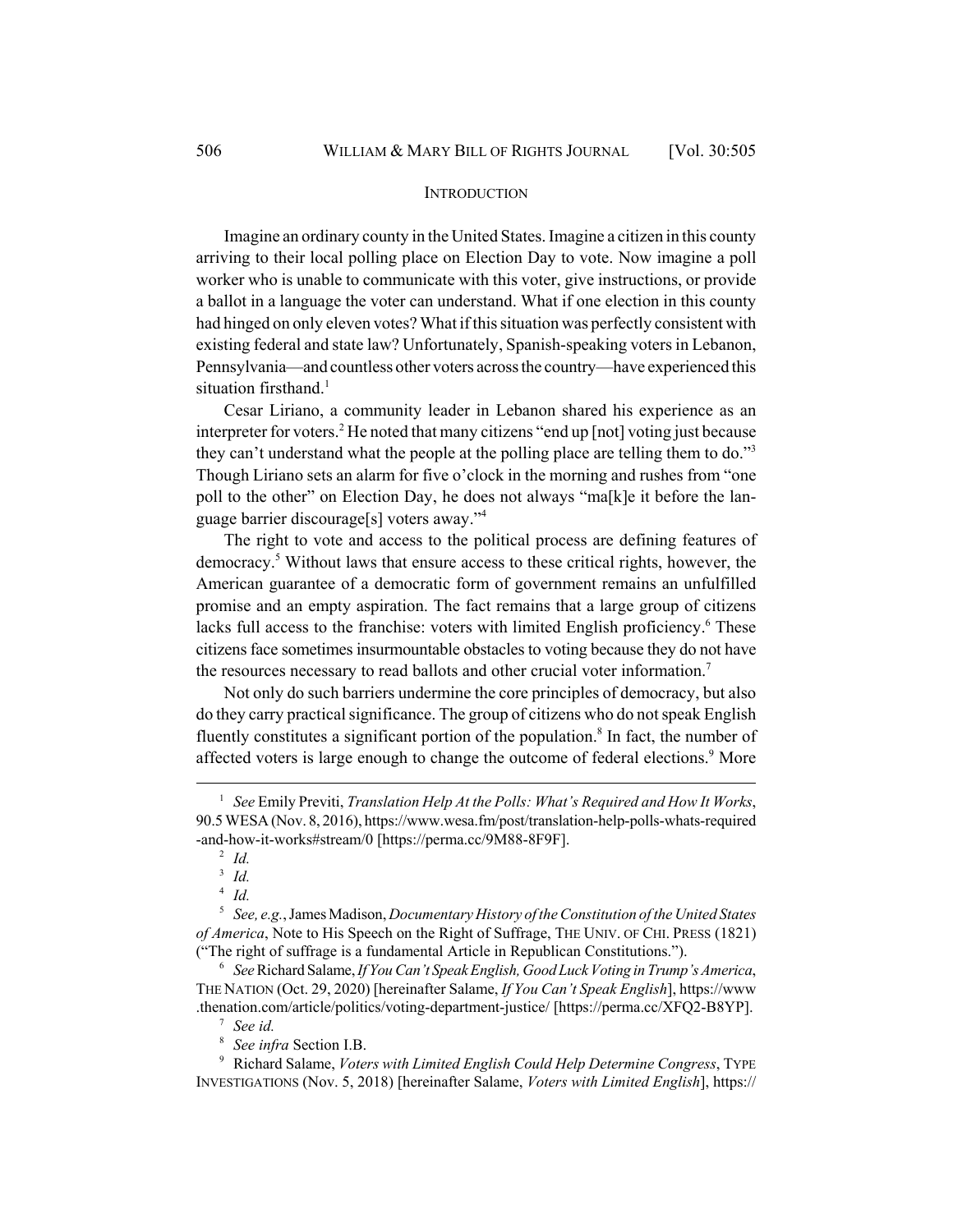#### **INTRODUCTION**

Imagine an ordinary county in the United States. Imagine a citizen in this county arriving to their local polling place on Election Day to vote. Now imagine a poll worker who is unable to communicate with this voter, give instructions, or provide a ballot in a language the voter can understand. What if one election in this county had hinged on only eleven votes? What if this situation was perfectly consistent with existing federal and state law? Unfortunately, Spanish-speaking voters in Lebanon, Pennsylvania—and countless other voters across the country—have experienced this situation firsthand.<sup>1</sup>

Cesar Liriano, a community leader in Lebanon shared his experience as an interpreter for voters.<sup>2</sup> He noted that many citizens "end up [not] voting just because they can't understand what the people at the polling place are telling them to do."<sup>3</sup> Though Liriano sets an alarm for five o'clock in the morning and rushes from "one poll to the other" on Election Day, he does not always "ma[k]e it before the language barrier discourage[s] voters away."4

The right to vote and access to the political process are defining features of democracy.5 Without laws that ensure access to these critical rights, however, the American guarantee of a democratic form of government remains an unfulfilled promise and an empty aspiration. The fact remains that a large group of citizens lacks full access to the franchise: voters with limited English proficiency.<sup>6</sup> These citizens face sometimes insurmountable obstacles to voting because they do not have the resources necessary to read ballots and other crucial voter information.<sup>7</sup>

Not only do such barriers undermine the core principles of democracy, but also do they carry practical significance. The group of citizens who do not speak English fluently constitutes a significant portion of the population.<sup>8</sup> In fact, the number of affected voters is large enough to change the outcome of federal elections.<sup>9</sup> More

<sup>6</sup> *See* Richard Salame, *If You Can't Speak English, Good Luck Voting in Trump's America*, THE NATION (Oct. 29, 2020) [hereinafter Salame, *If You Can't Speak English*], https://www .thenation.com/article/politics/voting-department-justice/ [https://perma.cc/XFQ2-B8YP].

<sup>7</sup> *See id.*

<sup>1</sup> *See* Emily Previti, *Translation Help At the Polls: What's Required and How It Works*, 90.5 WESA (Nov. 8, 2016), https://www.wesa.fm/post/translation-help-polls-whats-required -and-how-it-works#stream/0 [https://perma.cc/9M88-8F9F].

<sup>2</sup> *Id.*

<sup>3</sup> *Id.*

<sup>4</sup> *Id.*

<sup>5</sup> *See, e.g.*, James Madison, *Documentary History of the Constitution of the United States of America*, Note to His Speech on the Right of Suffrage, THE UNIV. OF CHI. PRESS (1821) ("The right of suffrage is a fundamental Article in Republican Constitutions.").

<sup>8</sup> *See infra* Section I.B.

<sup>9</sup> Richard Salame, *Voters with Limited English Could Help Determine Congress*, TYPE INVESTIGATIONS (Nov. 5, 2018) [hereinafter Salame, *Voters with Limited English*], https://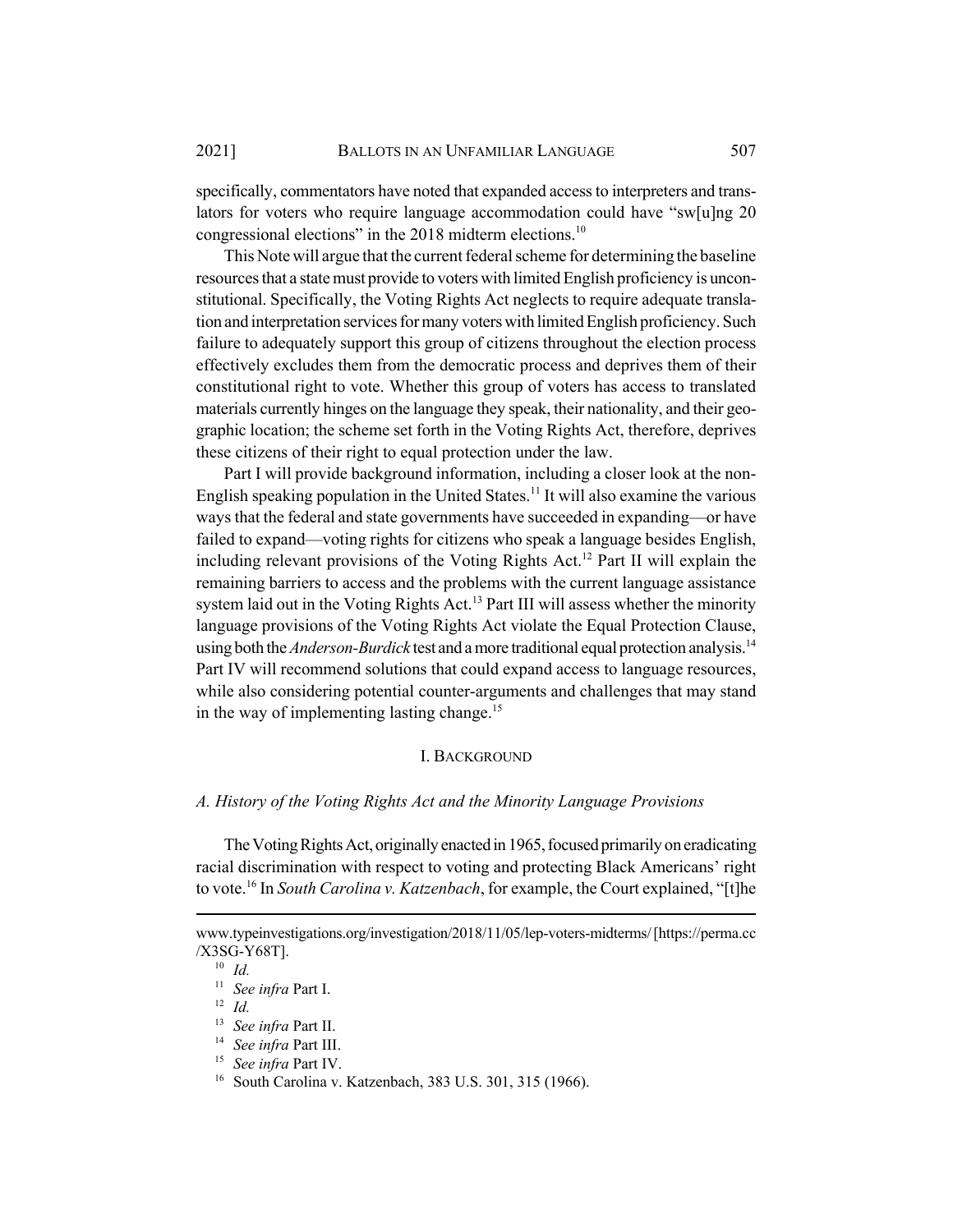specifically, commentators have noted that expanded access to interpreters and translators for voters who require language accommodation could have "sw[u]ng 20 congressional elections" in the 2018 midterm elections.10

This Note will argue that the current federal scheme for determining the baseline resources that a state must provide to voters with limited English proficiency is unconstitutional. Specifically, the Voting Rights Act neglects to require adequate translation and interpretation services for many voters with limited English proficiency. Such failure to adequately support this group of citizens throughout the election process effectively excludes them from the democratic process and deprives them of their constitutional right to vote. Whether this group of voters has access to translated materials currently hinges on the language they speak, their nationality, and their geographic location; the scheme set forth in the Voting Rights Act, therefore, deprives these citizens of their right to equal protection under the law.

Part I will provide background information, including a closer look at the non-English speaking population in the United States.<sup>11</sup> It will also examine the various ways that the federal and state governments have succeeded in expanding—or have failed to expand—voting rights for citizens who speak a language besides English, including relevant provisions of the Voting Rights Act.<sup>12</sup> Part II will explain the remaining barriers to access and the problems with the current language assistance system laid out in the Voting Rights Act.<sup>13</sup> Part III will assess whether the minority language provisions of the Voting Rights Act violate the Equal Protection Clause, using both the *Anderson-Burdick* test and a more traditional equal protection analysis.<sup>14</sup> Part IV will recommend solutions that could expand access to language resources, while also considering potential counter-arguments and challenges that may stand in the way of implementing lasting change.<sup>15</sup>

## I. BACKGROUND

#### *A. History of the Voting Rights Act and the Minority Language Provisions*

The Voting Rights Act, originally enacted in 1965, focused primarily on eradicating racial discrimination with respect to voting and protecting Black Americans' right to vote.16 In *South Carolina v. Katzenbach*, for example, the Court explained, "[t]he

<sup>12</sup> *Id.*

- <sup>14</sup> *See infra* Part III.
- <sup>15</sup> *See infra* Part IV.
- <sup>16</sup> South Carolina v. Katzenbach, 383 U.S. 301, 315 (1966).

www.typeinvestigations.org/investigation/2018/11/05/lep-voters-midterms/ [https://perma.cc /X3SG-Y68T].

<sup>10</sup> *Id.*

<sup>11</sup> *See infra* Part I.

<sup>13</sup> *See infra* Part II.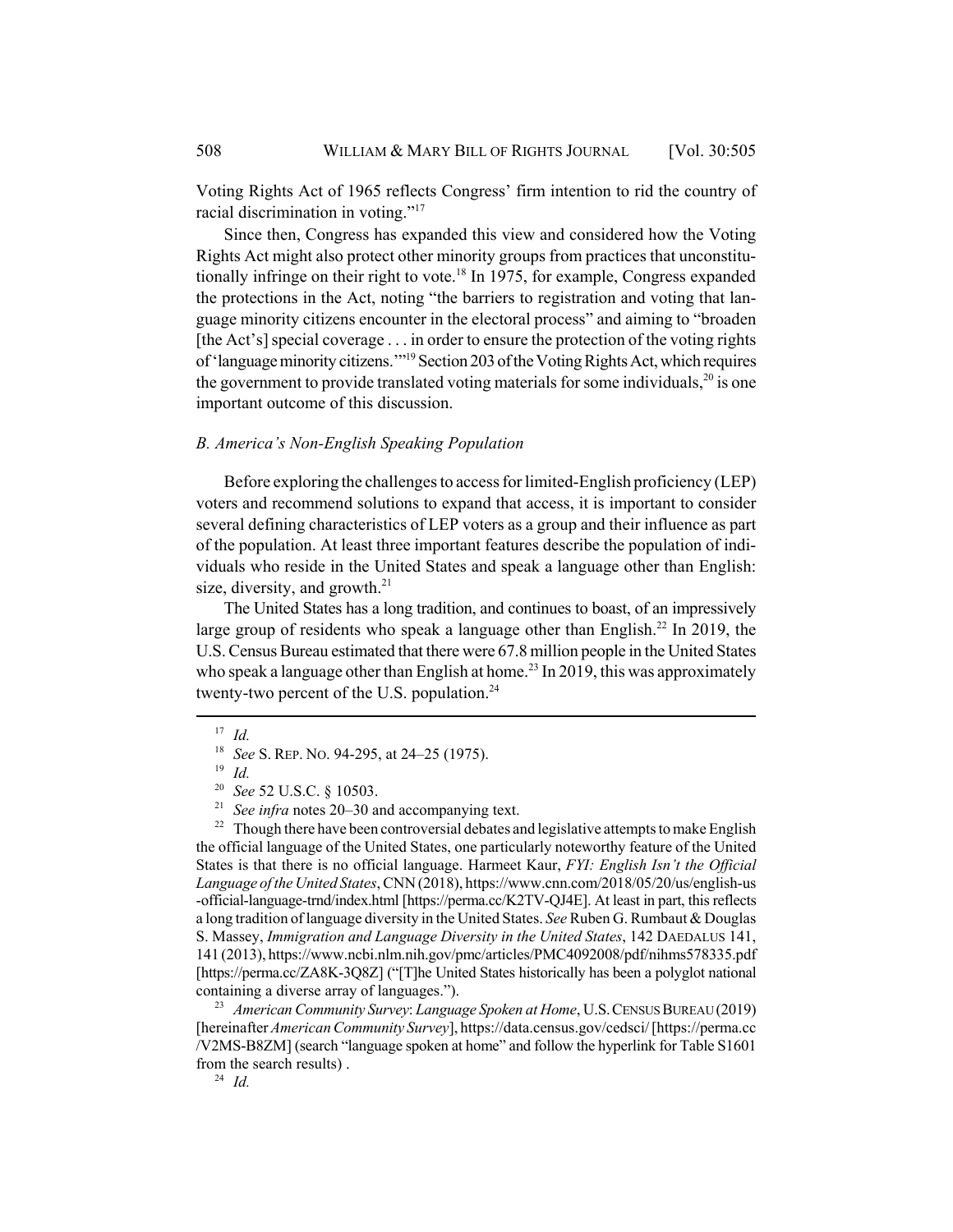Voting Rights Act of 1965 reflects Congress' firm intention to rid the country of racial discrimination in voting."17

Since then, Congress has expanded this view and considered how the Voting Rights Act might also protect other minority groups from practices that unconstitutionally infringe on their right to vote.<sup>18</sup> In 1975, for example, Congress expanded the protections in the Act, noting "the barriers to registration and voting that language minority citizens encounter in the electoral process" and aiming to "broaden [the Act's] special coverage . . . in order to ensure the protection of the voting rights of 'language minority citizens.'"19 Section 203 of the Voting Rights Act, which requires the government to provide translated voting materials for some individuals,  $^{20}$  is one important outcome of this discussion.

#### *B. America's Non-English Speaking Population*

Before exploring the challenges to access for limited-English proficiency (LEP) voters and recommend solutions to expand that access, it is important to consider several defining characteristics of LEP voters as a group and their influence as part of the population. At least three important features describe the population of individuals who reside in the United States and speak a language other than English: size, diversity, and growth. $21$ 

The United States has a long tradition, and continues to boast, of an impressively large group of residents who speak a language other than English.<sup>22</sup> In 2019, the U.S. Census Bureau estimated that there were 67.8 million people in the United States who speak a language other than English at home.<sup>23</sup> In 2019, this was approximately twenty-two percent of the U.S. population.<sup>24</sup>

<sup>22</sup> Though there have been controversial debates and legislative attempts to make English the official language of the United States, one particularly noteworthy feature of the United States is that there is no official language. Harmeet Kaur, *FYI: English Isn't the Official Language of the United States*, CNN (2018), https://www.cnn.com/2018/05/20/us/english-us -official-language-trnd/index.html [https://perma.cc/K2TV-QJ4E]. At least in part, this reflects a long tradition of language diversity in the United States. *See* Ruben G. Rumbaut & Douglas S. Massey, *Immigration and Language Diversity in the United States*, 142 DAEDALUS 141, 141 (2013), https://www.ncbi.nlm.nih.gov/pmc/articles/PMC4092008/pdf/nihms578335.pdf [https://perma.cc/ZA8K-3Q8Z] ("[T]he United States historically has been a polyglot national containing a diverse array of languages.").

<sup>23</sup> *American Community Survey*: *Language Spoken at Home*, U.S.CENSUS BUREAU (2019) [hereinafter *American Community Survey*], https://data.census.gov/cedsci/ [https://perma.cc /V2MS-B8ZM] (search "language spoken at home" and follow the hyperlink for Table S1601 from the search results) .

<sup>24</sup> *Id.*

<sup>17</sup> *Id.*

<sup>18</sup> *See* S. REP. NO. 94-295, at 24–25 (1975).

 $\frac{19}{20}$  *Id.* 

<sup>&</sup>lt;sup>20</sup> *See* 52 U.S.C. § 10503.<br><sup>21</sup> *See infra* notes 20, 30.31

<sup>&</sup>lt;sup>21</sup> *See infra* notes 20–30 and accompanying text.<br><sup>22</sup> Though there have been controversial debates at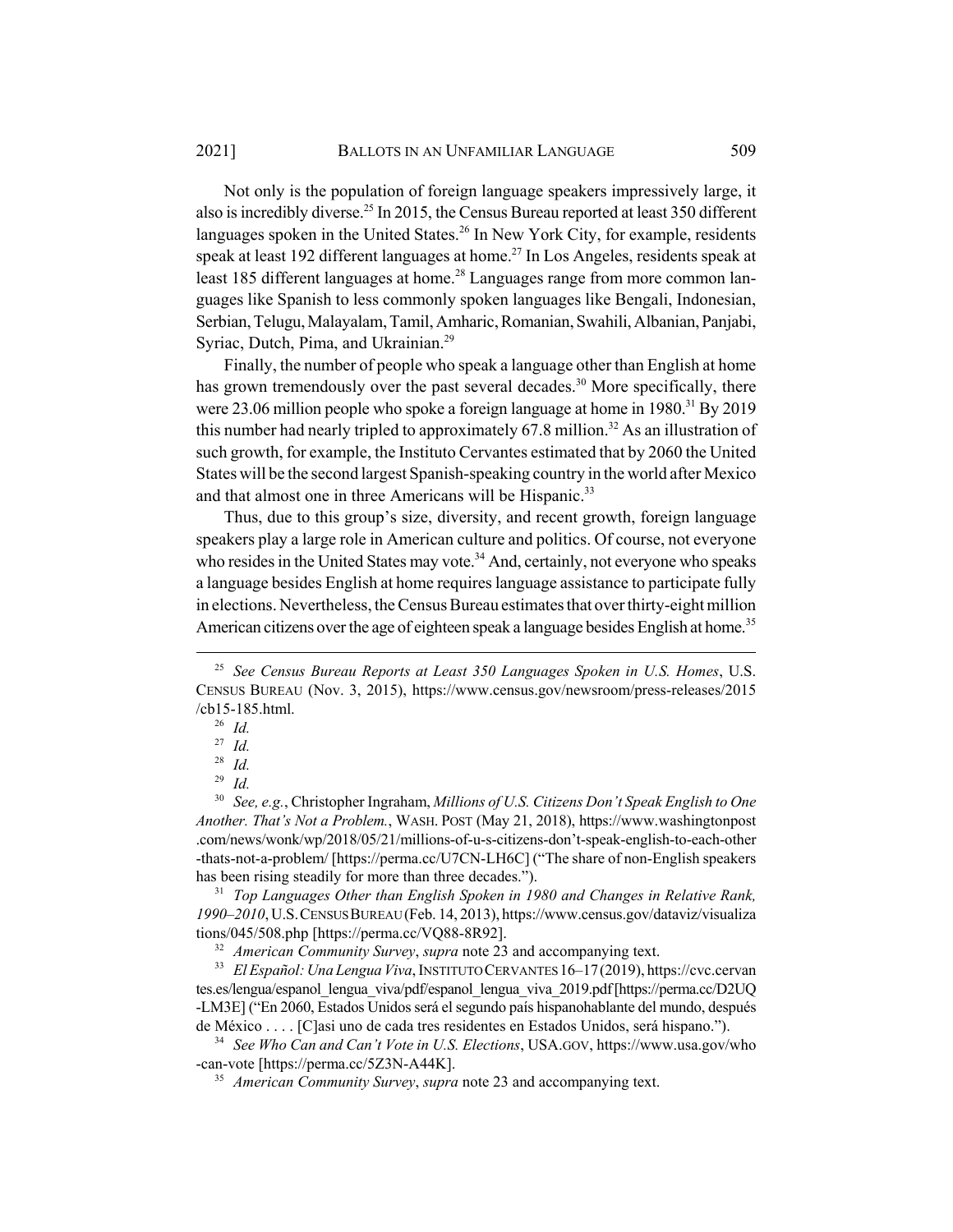Not only is the population of foreign language speakers impressively large, it also is incredibly diverse.<sup>25</sup> In 2015, the Census Bureau reported at least 350 different languages spoken in the United States.<sup>26</sup> In New York City, for example, residents speak at least 192 different languages at home.<sup>27</sup> In Los Angeles, residents speak at least 185 different languages at home.<sup>28</sup> Languages range from more common languages like Spanish to less commonly spoken languages like Bengali, Indonesian, Serbian, Telugu, Malayalam, Tamil, Amharic, Romanian, Swahili, Albanian, Panjabi, Syriac, Dutch, Pima, and Ukrainian.<sup>29</sup>

Finally, the number of people who speak a language other than English at home has grown tremendously over the past several decades.<sup>30</sup> More specifically, there were 23.06 million people who spoke a foreign language at home in 1980.<sup>31</sup> By 2019 this number had nearly tripled to approximately  $67.8$  million.<sup>32</sup> As an illustration of such growth, for example, the Instituto Cervantes estimated that by 2060 the United States will be the second largest Spanish-speaking country in the world after Mexico and that almost one in three Americans will be Hispanic.<sup>33</sup>

Thus, due to this group's size, diversity, and recent growth, foreign language speakers play a large role in American culture and politics. Of course, not everyone who resides in the United States may vote.<sup>34</sup> And, certainly, not everyone who speaks a language besides English at home requires language assistance to participate fully in elections. Nevertheless, the Census Bureau estimates that over thirty-eight million American citizens over the age of eighteen speak a language besides English at home.<sup>35</sup>

<sup>31</sup> *Top Languages Other than English Spoken in 1980 and Changes in Relative Rank, 1990*–*2010*, U.S.CENSUS BUREAU (Feb. 14, 2013), https://www.census.gov/dataviz/visualiza tions/045/508.php [https://perma.cc/VQ88-8R92].

<sup>32</sup> *American Community Survey*, *supra* note 23 and accompanying text.

<sup>33</sup> *El Español: Una Lengua Viva*, INSTITUTO CERVANTES 16–17(2019), https://cvc.cervan tes.es/lengua/espanol\_lengua\_viva/pdf/espanol\_lengua\_viva\_2019.pdf [https://perma.cc/D2UQ -LM3E] ("En 2060, Estados Unidos será el segundo país hispanohablante del mundo, después de México . . . . [C]asi uno de cada tres residentes en Estados Unidos, será hispano.").

<sup>34</sup> *See Who Can and Can't Vote in U.S. Elections*, USA.GOV, https://www.usa.gov/who -can-vote [https://perma.cc/5Z3N-A44K].

<sup>35</sup> *American Community Survey*, *supra* note 23 and accompanying text.

<sup>25</sup> *See Census Bureau Reports at Least 350 Languages Spoken in U.S. Homes*, U.S. CENSUS BUREAU (Nov. 3, 2015), https://www.census.gov/newsroom/press-releases/2015 /cb15-185.html.

<sup>26</sup> *Id.*

<sup>27</sup> *Id.*

 $\frac{28}{29}$  *Id.* 

*Id.* 

<sup>30</sup> *See, e.g.*, Christopher Ingraham, *Millions of U.S. Citizens Don't Speak English to One Another. That's Not a Problem.*, WASH. POST (May 21, 2018), https://www.washingtonpost .com/news/wonk/wp/2018/05/21/millions-of-u-s-citizens-don't-speak-english-to-each-other -thats-not-a-problem/ [https://perma.cc/U7CN-LH6C] ("The share of non-English speakers has been rising steadily for more than three decades.").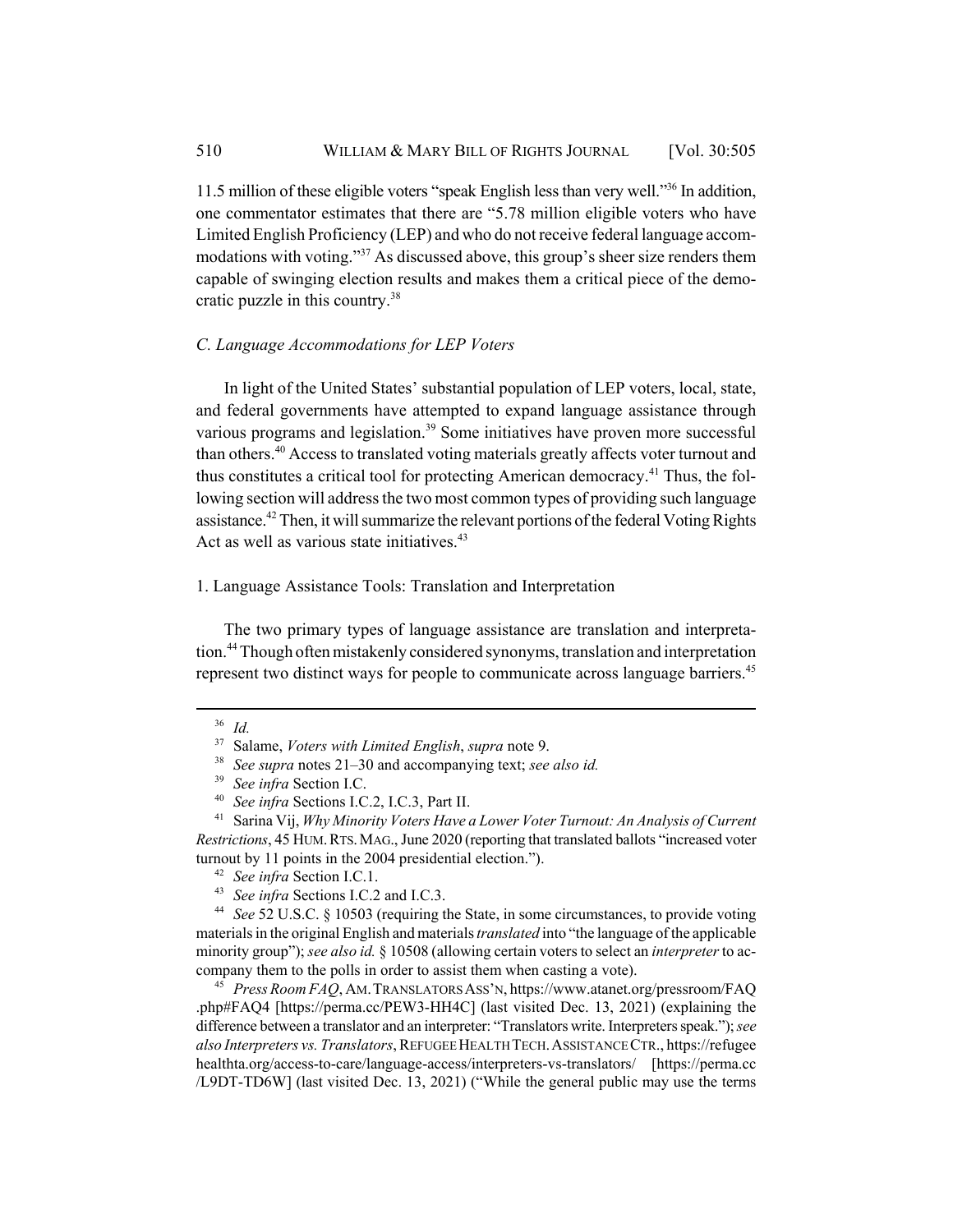11.5 million of these eligible voters "speak English less than very well."36 In addition, one commentator estimates that there are "5.78 million eligible voters who have Limited English Proficiency (LEP) and who do not receive federal language accommodations with voting."<sup>37</sup> As discussed above, this group's sheer size renders them capable of swinging election results and makes them a critical piece of the democratic puzzle in this country.38

# *C. Language Accommodations for LEP Voters*

In light of the United States' substantial population of LEP voters, local, state, and federal governments have attempted to expand language assistance through various programs and legislation.<sup>39</sup> Some initiatives have proven more successful than others.<sup>40</sup> Access to translated voting materials greatly affects voter turnout and thus constitutes a critical tool for protecting American democracy.<sup>41</sup> Thus, the following section will address the two most common types of providing such language assistance.<sup>42</sup> Then, it will summarize the relevant portions of the federal Voting Rights Act as well as various state initiatives.<sup>43</sup>

# 1. Language Assistance Tools: Translation and Interpretation

The two primary types of language assistance are translation and interpretation.<sup>44</sup> Though often mistakenly considered synonyms, translation and interpretation represent two distinct ways for people to communicate across language barriers.<sup>45</sup>

<sup>44</sup> *See* 52 U.S.C. § 10503 (requiring the State, in some circumstances, to provide voting materials in the original English and materials *translated* into "the language of the applicable minority group"); *see also id.* § 10508 (allowing certain voters to select an *interpreter* to accompany them to the polls in order to assist them when casting a vote).

<sup>45</sup> *Press Room FAQ*, AM.TRANSLATORS ASS'N, https://www.atanet.org/pressroom/FAQ .php#FAQ4 [https://perma.cc/PEW3-HH4C] (last visited Dec. 13, 2021) (explaining the difference between a translator and an interpreter: "Translators write. Interpreters speak."); *see also Interpreters vs. Translators*, REFUGEE HEALTH TECH.ASSISTANCE CTR., https://refugee healthta.org/access-to-care/language-access/interpreters-vs-translators/ [https://perma.cc /L9DT-TD6W] (last visited Dec. 13, 2021) ("While the general public may use the terms

<sup>36</sup> *Id.*

<sup>37</sup> Salame, *Voters with Limited English*, *supra* note 9.

<sup>38</sup> *See supra* notes 21–30 and accompanying text; *see also id.*

<sup>39</sup> *See infra* Section I.C.

<sup>40</sup> *See infra* Sections I.C.2, I.C.3, Part II.

<sup>41</sup> Sarina Vij, *Why Minority Voters Have a Lower Voter Turnout: An Analysis of Current Restrictions*, 45 HUM.RTS.MAG., June 2020 (reporting that translated ballots "increased voter turnout by 11 points in the 2004 presidential election.").

<sup>42</sup> *See infra* Section I.C.1.

<sup>43</sup> *See infra* Sections I.C.2 and I.C.3.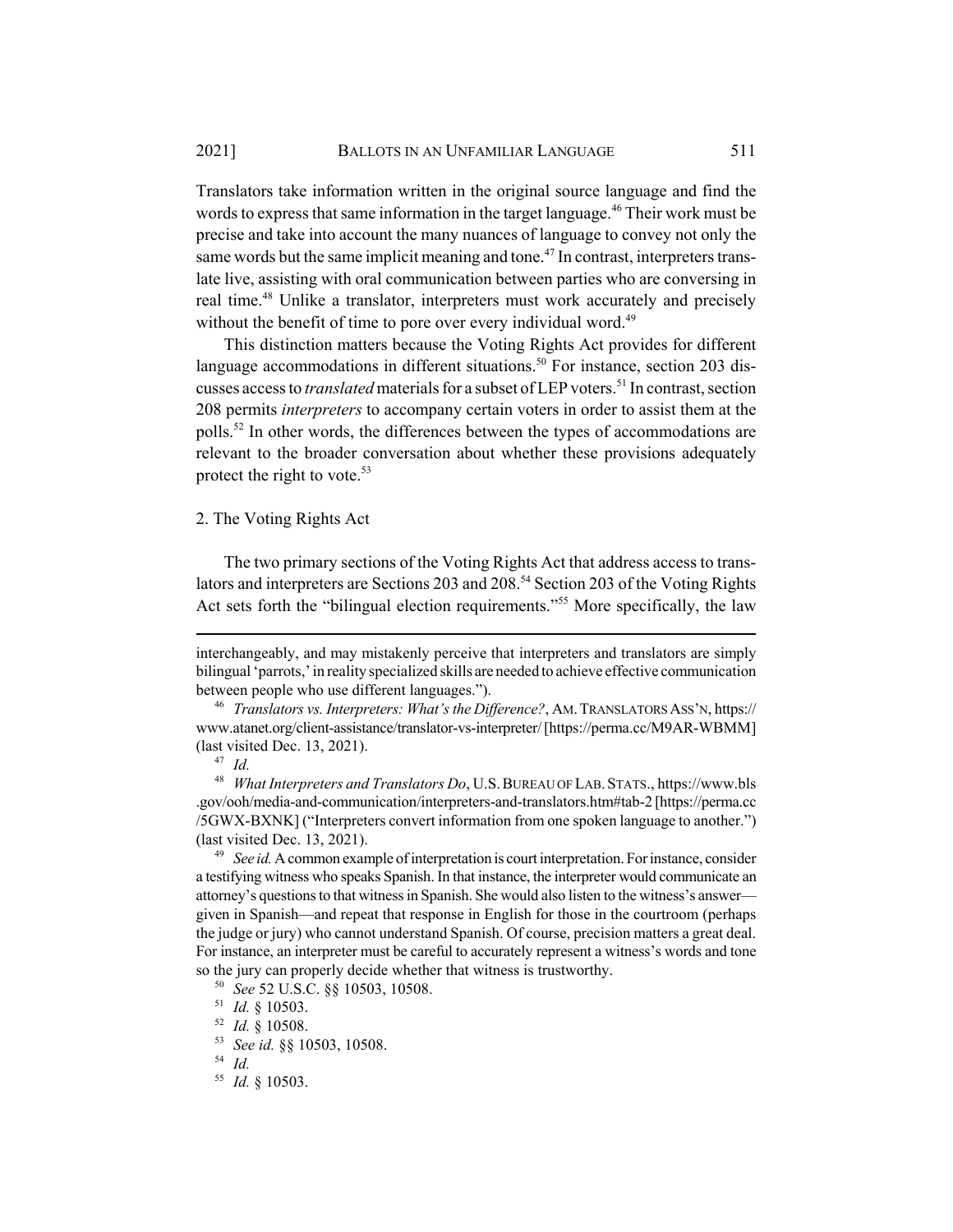Translators take information written in the original source language and find the words to express that same information in the target language.<sup>46</sup> Their work must be precise and take into account the many nuances of language to convey not only the same words but the same implicit meaning and tone.<sup>47</sup> In contrast, interpreters translate live, assisting with oral communication between parties who are conversing in real time.<sup>48</sup> Unlike a translator, interpreters must work accurately and precisely without the benefit of time to pore over every individual word.<sup>49</sup>

This distinction matters because the Voting Rights Act provides for different language accommodations in different situations.<sup>50</sup> For instance, section 203 discusses access to *translated* materials for a subset of LEP voters.51 In contrast, section 208 permits *interpreters* to accompany certain voters in order to assist them at the polls.52 In other words, the differences between the types of accommodations are relevant to the broader conversation about whether these provisions adequately protect the right to vote. $53$ 

## 2. The Voting Rights Act

The two primary sections of the Voting Rights Act that address access to translators and interpreters are Sections 203 and 208.<sup>54</sup> Section 203 of the Voting Rights Act sets forth the "bilingual election requirements."<sup>55</sup> More specifically, the law

interchangeably, and may mistakenly perceive that interpreters and translators are simply bilingual 'parrots,' in reality specialized skills are needed to achieve effective communication between people who use different languages.").

<sup>46</sup> *Translators vs. Interpreters: What's the Difference?*, AM.TRANSLATORS ASS'N, https:// www.atanet.org/client-assistance/translator-vs-interpreter/ [https://perma.cc/M9AR-WBMM] (last visited Dec. 13, 2021).

<sup>47</sup> *Id.*

<sup>48</sup> *What Interpreters and Translators Do*, U.S.BUREAU OF LAB.STATS., https://www.bls .gov/ooh/media-and-communication/interpreters-and-translators.htm#tab-2 [https://perma.cc /5GWX-BXNK] ("Interpreters convert information from one spoken language to another.") (last visited Dec. 13, 2021).

<sup>49</sup> *See id.* A common example of interpretation is court interpretation. For instance, consider a testifying witness who speaks Spanish. In that instance, the interpreter would communicate an attorney's questions to that witness in Spanish. She would also listen to the witness's answer given in Spanish—and repeat that response in English for those in the courtroom (perhaps the judge or jury) who cannot understand Spanish. Of course, precision matters a great deal. For instance, an interpreter must be careful to accurately represent a witness's words and tone so the jury can properly decide whether that witness is trustworthy.

<sup>50</sup> *See* 52 U.S.C. §§ 10503, 10508.

<sup>51</sup> *Id.* § 10503.

<sup>52</sup> *Id.* § 10508.

<sup>53</sup> *See id.* §§ 10503, 10508.

<sup>54</sup> *Id.*

<sup>55</sup> *Id.* § 10503.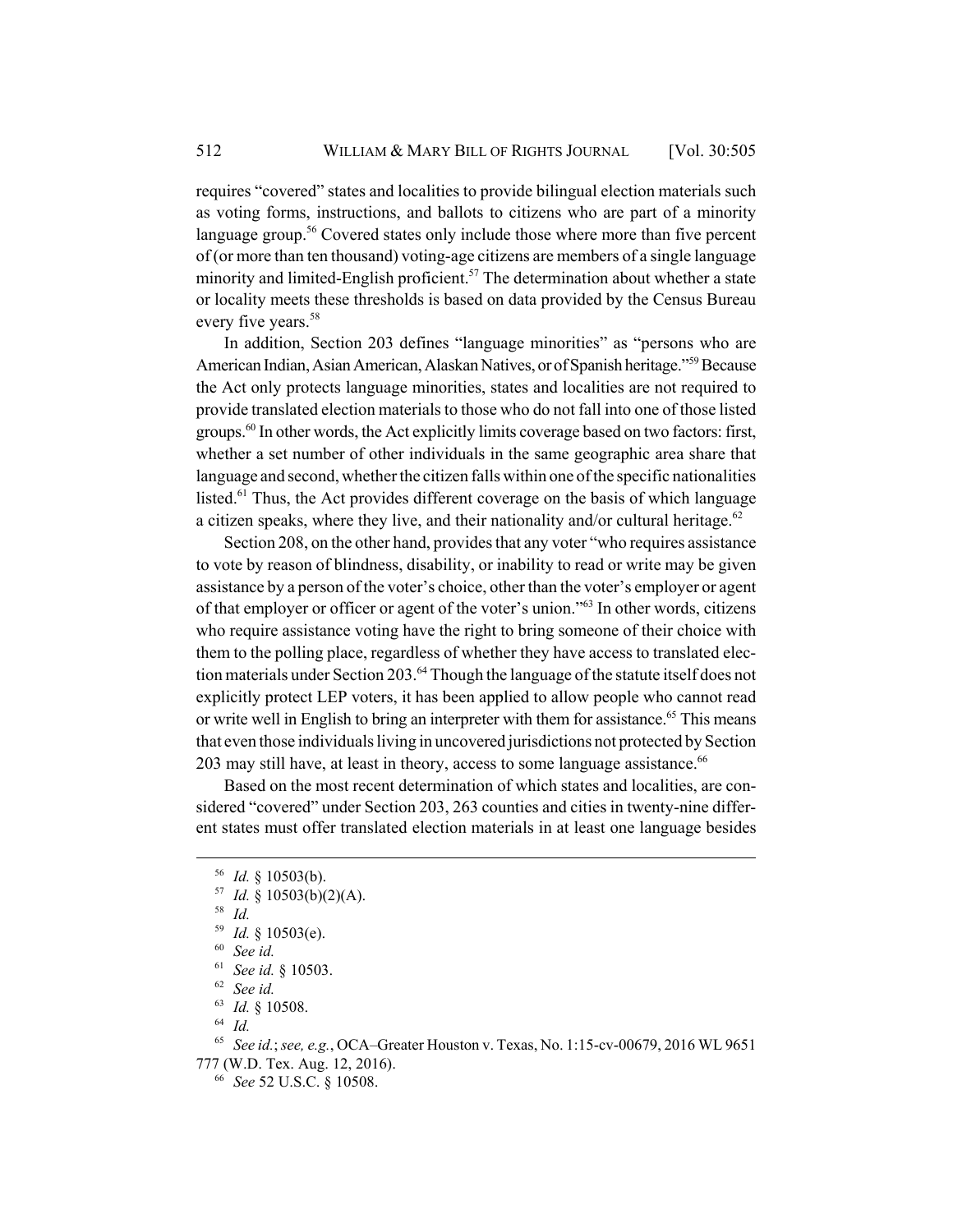requires "covered" states and localities to provide bilingual election materials such as voting forms, instructions, and ballots to citizens who are part of a minority language group.<sup>56</sup> Covered states only include those where more than five percent of (or more than ten thousand) voting-age citizens are members of a single language minority and limited-English proficient.<sup>57</sup> The determination about whether a state or locality meets these thresholds is based on data provided by the Census Bureau every five years.<sup>58</sup>

In addition, Section 203 defines "language minorities" as "persons who are American Indian, Asian American, Alaskan Natives, or of Spanish heritage."59 Because the Act only protects language minorities, states and localities are not required to provide translated election materials to those who do not fall into one of those listed groups.<sup>60</sup> In other words, the Act explicitly limits coverage based on two factors: first, whether a set number of other individuals in the same geographic area share that language and second, whether the citizen falls within one of the specific nationalities listed.<sup>61</sup> Thus, the Act provides different coverage on the basis of which language a citizen speaks, where they live, and their nationality and/or cultural heritage.<sup>62</sup>

Section 208, on the other hand, provides that any voter "who requires assistance to vote by reason of blindness, disability, or inability to read or write may be given assistance by a person of the voter's choice, other than the voter's employer or agent of that employer or officer or agent of the voter's union."63 In other words, citizens who require assistance voting have the right to bring someone of their choice with them to the polling place, regardless of whether they have access to translated election materials under Section 203.<sup>64</sup> Though the language of the statute itself does not explicitly protect LEP voters, it has been applied to allow people who cannot read or write well in English to bring an interpreter with them for assistance.<sup>65</sup> This means that even those individuals living in uncovered jurisdictions not protected by Section 203 may still have, at least in theory, access to some language assistance.<sup>66</sup>

Based on the most recent determination of which states and localities, are considered "covered" under Section 203, 263 counties and cities in twenty-nine different states must offer translated election materials in at least one language besides

<sup>56</sup> *Id.* § 10503(b).

 $10503(b)(2)(A)$ .

<sup>58</sup> *Id.*

<sup>59</sup> *Id.* § 10503(e).

<sup>60</sup> *See id.*

<sup>61</sup> *See id.* § 10503.

<sup>62</sup> *See id.*

<sup>63</sup> *Id.* § 10508.

<sup>64</sup> *Id.*

<sup>65</sup> *See id.*; *see, e.g.*, OCA–Greater Houston v. Texas, No. 1:15-cv-00679, 2016 WL 9651 777 (W.D. Tex. Aug. 12, 2016).

<sup>66</sup> *See* 52 U.S.C. § 10508.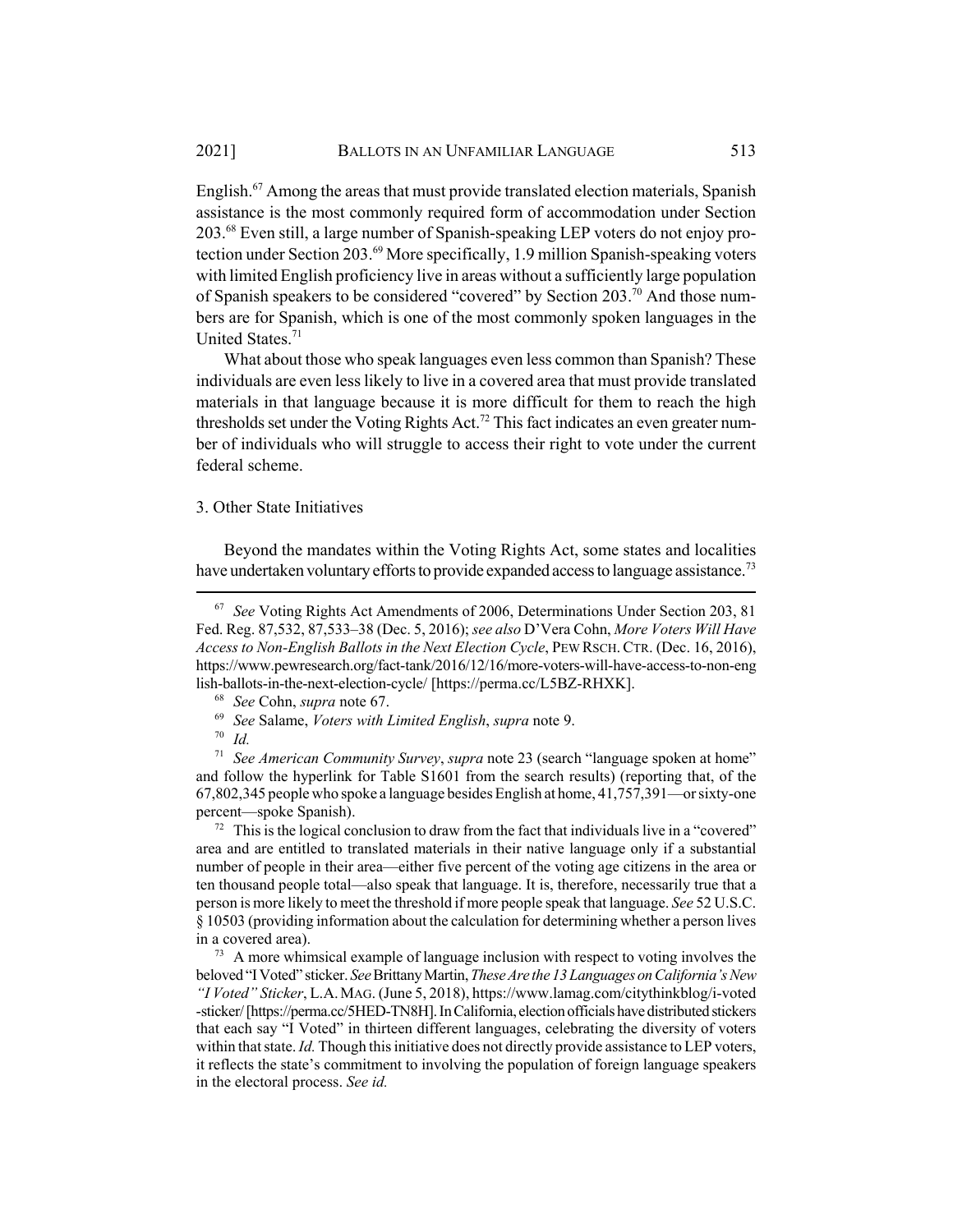English.67 Among the areas that must provide translated election materials, Spanish assistance is the most commonly required form of accommodation under Section 203.68 Even still, a large number of Spanish-speaking LEP voters do not enjoy protection under Section 203.69 More specifically, 1.9 million Spanish-speaking voters with limited English proficiency live in areas without a sufficiently large population of Spanish speakers to be considered "covered" by Section 203.70 And those numbers are for Spanish, which is one of the most commonly spoken languages in the United States.<sup>71</sup>

What about those who speak languages even less common than Spanish? These individuals are even less likely to live in a covered area that must provide translated materials in that language because it is more difficult for them to reach the high thresholds set under the Voting Rights Act.<sup>72</sup> This fact indicates an even greater number of individuals who will struggle to access their right to vote under the current federal scheme.

#### 3. Other State Initiatives

Beyond the mandates within the Voting Rights Act, some states and localities have undertaken voluntary efforts to provide expanded access to language assistance.<sup>73</sup>

 $72$  This is the logical conclusion to draw from the fact that individuals live in a "covered" area and are entitled to translated materials in their native language only if a substantial number of people in their area—either five percent of the voting age citizens in the area or ten thousand people total—also speak that language. It is, therefore, necessarily true that a person is more likely to meet the threshold if more people speak that language. *See* 52 U.S.C. § 10503 (providing information about the calculation for determining whether a person lives in a covered area).

 $<sup>73</sup>$  A more whimsical example of language inclusion with respect to voting involves the</sup> beloved "I Voted" sticker. *See* Brittany Martin, *These Are the 13 Languages on California's New "I Voted" Sticker*, L.A.MAG. (June 5, 2018), https://www.lamag.com/citythinkblog/i-voted -sticker/ [https://perma.cc/5HED-TN8H]. In California, election officials have distributed stickers that each say "I Voted" in thirteen different languages, celebrating the diversity of voters within that state. *Id.* Though this initiative does not directly provide assistance to LEP voters, it reflects the state's commitment to involving the population of foreign language speakers in the electoral process. *See id.*

<sup>67</sup> *See* Voting Rights Act Amendments of 2006, Determinations Under Section 203, 81 Fed. Reg. 87,532, 87,533–38 (Dec. 5, 2016); *see also* D'Vera Cohn, *More Voters Will Have Access to Non-English Ballots in the Next Election Cycle*, PEW RSCH.CTR. (Dec. 16, 2016), https://www.pewresearch.org/fact-tank/2016/12/16/more-voters-will-have-access-to-non-eng lish-ballots-in-the-next-election-cycle/ [https://perma.cc/L5BZ-RHXK].

<sup>68</sup> *See* Cohn, *supra* note 67.

<sup>69</sup> *See* Salame, *Voters with Limited English*, *supra* note 9.

<sup>70</sup> *Id.*

<sup>71</sup> *See American Community Survey*, *supra* note 23 (search "language spoken at home" and follow the hyperlink for Table S1601 from the search results) (reporting that, of the 67,802,345 people who spoke a language besides English at home, 41,757,391—or sixty-one percent—spoke Spanish).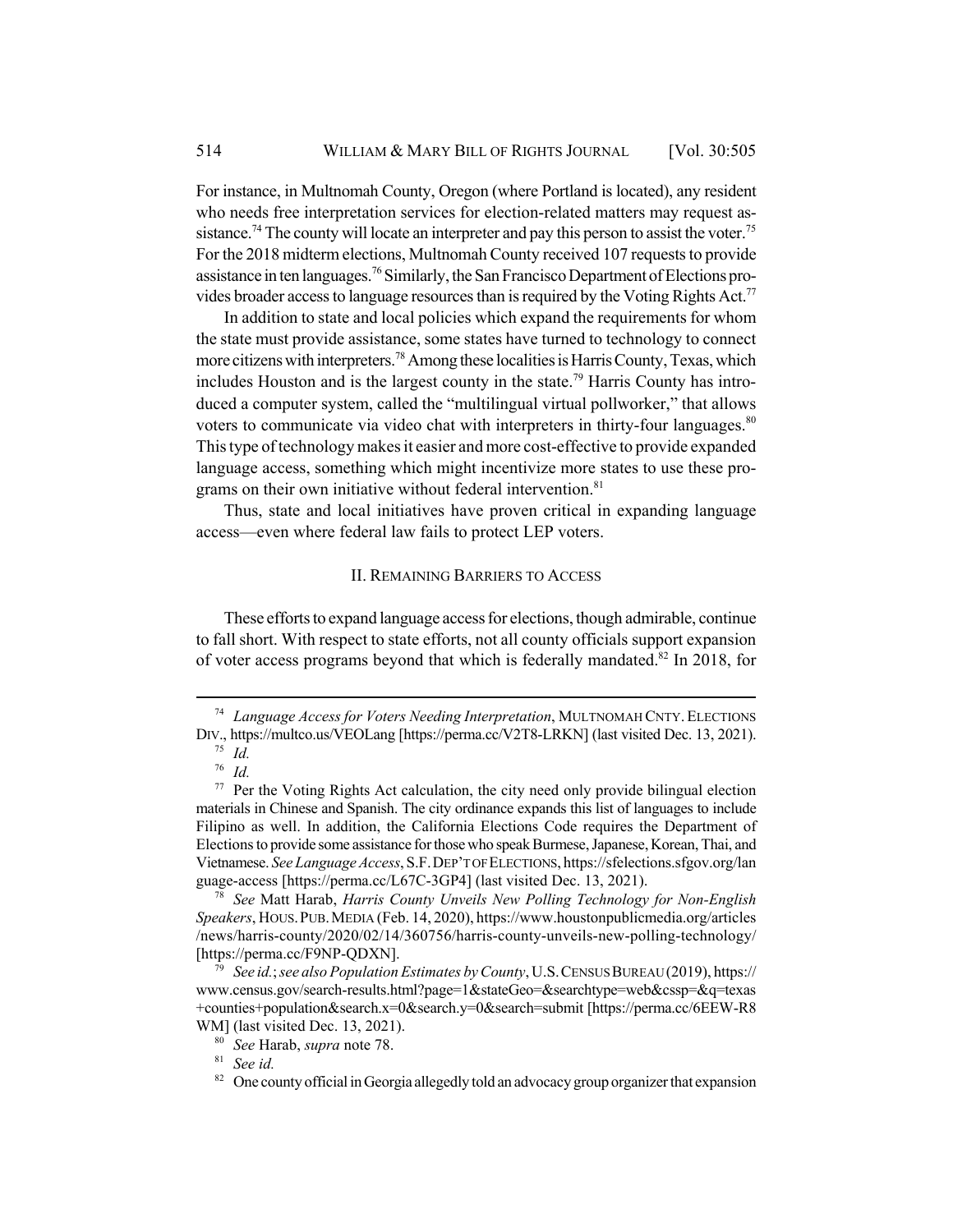For instance, in Multnomah County, Oregon (where Portland is located), any resident who needs free interpretation services for election-related matters may request assistance.<sup>74</sup> The county will locate an interpreter and pay this person to assist the voter.<sup>75</sup> For the 2018 midterm elections, Multnomah County received 107 requests to provide assistance in ten languages.<sup>76</sup> Similarly, the San Francisco Department of Elections provides broader access to language resources than is required by the Voting Rights Act.<sup>77</sup>

In addition to state and local policies which expand the requirements for whom the state must provide assistance, some states have turned to technology to connect more citizens with interpreters.<sup>78</sup> Among these localities is Harris County, Texas, which includes Houston and is the largest county in the state.<sup>79</sup> Harris County has introduced a computer system, called the "multilingual virtual pollworker," that allows voters to communicate via video chat with interpreters in thirty-four languages. $80$ This type of technology makes it easier and more cost-effective to provide expanded language access, something which might incentivize more states to use these programs on their own initiative without federal intervention.<sup>81</sup>

Thus, state and local initiatives have proven critical in expanding language access—even where federal law fails to protect LEP voters.

## II. REMAINING BARRIERS TO ACCESS

These efforts to expand language access for elections, though admirable, continue to fall short. With respect to state efforts, not all county officials support expansion of voter access programs beyond that which is federally mandated.<sup>82</sup> In 2018, for

<sup>74</sup> *Language Access for Voters Needing Interpretation*, MULTNOMAH CNTY. ELECTIONS DIV., https://multco.us/VEOLang [https://perma.cc/V2T8-LRKN] (last visited Dec. 13, 2021).

<sup>75</sup> *Id.*

<sup>76</sup> *Id.*

<sup>77</sup> Per the Voting Rights Act calculation, the city need only provide bilingual election materials in Chinese and Spanish. The city ordinance expands this list of languages to include Filipino as well. In addition, the California Elections Code requires the Department of Elections to provide some assistance for those who speak Burmese, Japanese, Korean, Thai, and Vietnamese. *See Language Access*, S.F.DEP'T OF ELECTIONS, https://sfelections.sfgov.org/lan guage-access [https://perma.cc/L67C-3GP4] (last visited Dec. 13, 2021).

<sup>78</sup> *See* Matt Harab, *Harris County Unveils New Polling Technology for Non-English Speakers*, HOUS.PUB.MEDIA (Feb. 14, 2020), https://www.houstonpublicmedia.org/articles /news/harris-county/2020/02/14/360756/harris-county-unveils-new-polling-technology/ [https://perma.cc/F9NP-QDXN].

<sup>79</sup> *See id.*; *see also Population Estimates by County*, U.S.CENSUS BUREAU (2019), https:// www.census.gov/search-results.html?page=1&stateGeo=&searchtype=web&cssp=&q=texas +counties+population&search.x=0&search.y=0&search=submit [https://perma.cc/6EEW-R8 WM] (last visited Dec. 13, 2021).

<sup>80</sup> *See* Harab, *supra* note 78.

<sup>81</sup> *See id.*

 $82$  One county official in Georgia allegedly told an advocacy group organizer that expansion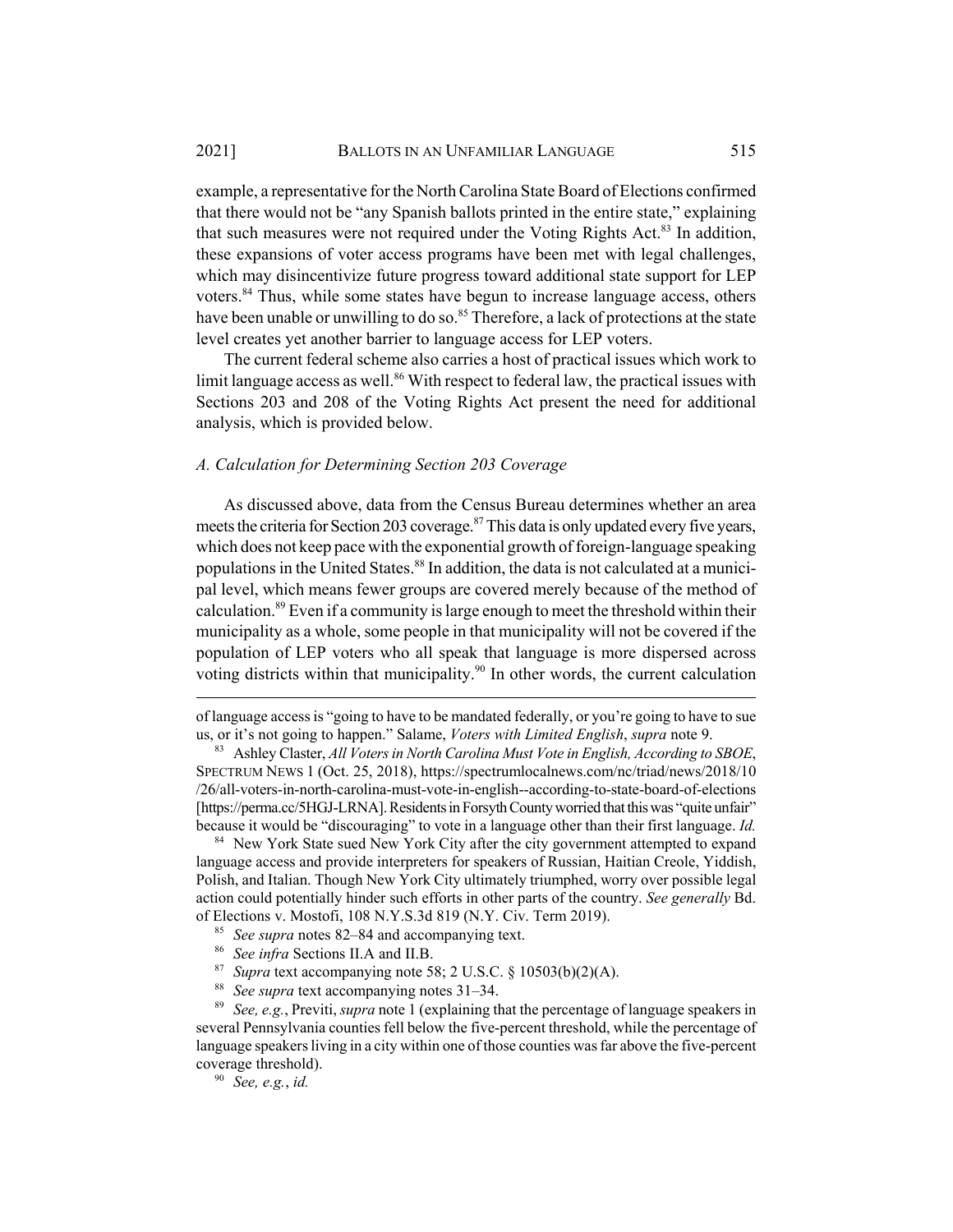example, a representative for the North Carolina State Board of Elections confirmed that there would not be "any Spanish ballots printed in the entire state," explaining that such measures were not required under the Voting Rights Act.<sup>83</sup> In addition, these expansions of voter access programs have been met with legal challenges, which may disincentivize future progress toward additional state support for LEP voters.<sup>84</sup> Thus, while some states have begun to increase language access, others have been unable or unwilling to do so.<sup>85</sup> Therefore, a lack of protections at the state level creates yet another barrier to language access for LEP voters.

The current federal scheme also carries a host of practical issues which work to limit language access as well.<sup>86</sup> With respect to federal law, the practical issues with Sections 203 and 208 of the Voting Rights Act present the need for additional analysis, which is provided below.

## *A. Calculation for Determining Section 203 Coverage*

As discussed above, data from the Census Bureau determines whether an area meets the criteria for Section 203 coverage.<sup>87</sup> This data is only updated every five years, which does not keep pace with the exponential growth of foreign-language speaking populations in the United States.<sup>88</sup> In addition, the data is not calculated at a municipal level, which means fewer groups are covered merely because of the method of calculation.89 Even if a community is large enough to meet the threshold within their municipality as a whole, some people in that municipality will not be covered if the population of LEP voters who all speak that language is more dispersed across voting districts within that municipality.<sup>90</sup> In other words, the current calculation

<sup>84</sup> New York State sued New York City after the city government attempted to expand language access and provide interpreters for speakers of Russian, Haitian Creole, Yiddish, Polish, and Italian. Though New York City ultimately triumphed, worry over possible legal action could potentially hinder such efforts in other parts of the country. *See generally* Bd. of Elections v. Mostofi, 108 N.Y.S.3d 819 (N.Y. Civ. Term 2019).

- <sup>85</sup> *See supra* notes 82–84 and accompanying text.
- <sup>86</sup> *See infra* Sections II.A and II.B.
- *Supra* text accompanying note 58; 2 U.S.C. § 10503(b)(2)(A).
- <sup>88</sup> *See supra* text accompanying notes 31–34.

of language access is "going to have to be mandated federally, or you're going to have to sue us, or it's not going to happen." Salame, *Voters with Limited English*, *supra* note 9.

<sup>83</sup> Ashley Claster, *All Voters in North Carolina Must Vote in English, According to SBOE*, SPECTRUM NEWS 1 (Oct. 25, 2018), https://spectrumlocalnews.com/nc/triad/news/2018/10 /26/all-voters-in-north-carolina-must-vote-in-english--according-to-state-board-of-elections [https://perma.cc/5HGJ-LRNA]. Residents in Forsyth County worried that this was "quite unfair" because it would be "discouraging" to vote in a language other than their first language. *Id.*

<sup>89</sup> *See, e.g.*, Previti, *supra* note 1 (explaining that the percentage of language speakers in several Pennsylvania counties fell below the five-percent threshold, while the percentage of language speakers living in a city within one of those counties was far above the five-percent coverage threshold).

<sup>90</sup> *See, e.g.*, *id.*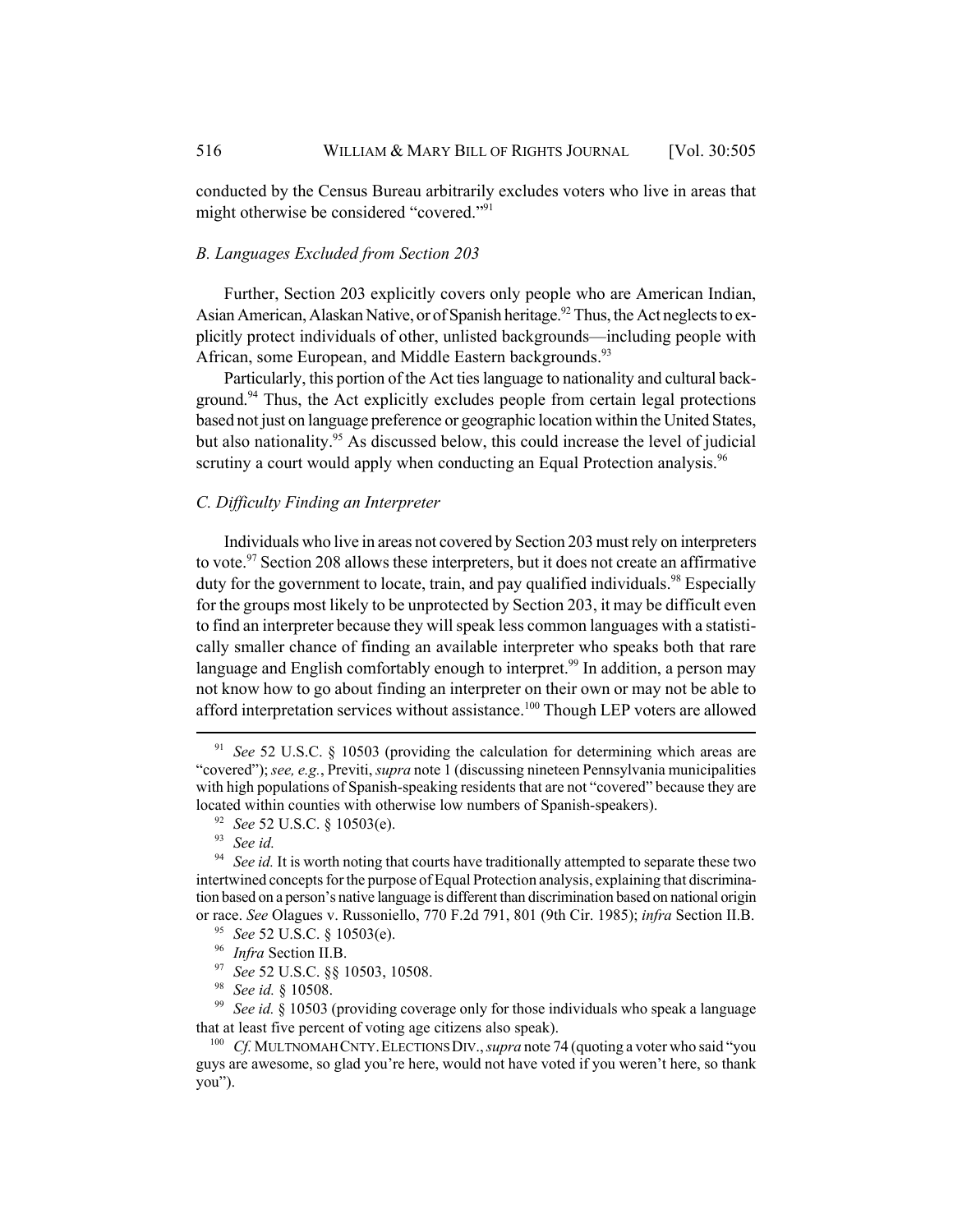conducted by the Census Bureau arbitrarily excludes voters who live in areas that might otherwise be considered "covered."<sup>91</sup>

## *B. Languages Excluded from Section 203*

Further, Section 203 explicitly covers only people who are American Indian, Asian American, Alaskan Native, or of Spanish heritage.<sup>92</sup> Thus, the Act neglects to explicitly protect individuals of other, unlisted backgrounds—including people with African, some European, and Middle Eastern backgrounds.<sup>93</sup>

Particularly, this portion of the Act ties language to nationality and cultural background.<sup>94</sup> Thus, the Act explicitly excludes people from certain legal protections based not just on language preference or geographic location within the United States, but also nationality.<sup>95</sup> As discussed below, this could increase the level of judicial scrutiny a court would apply when conducting an Equal Protection analysis.<sup>96</sup>

## *C. Difficulty Finding an Interpreter*

Individuals who live in areas not covered by Section 203 must rely on interpreters to vote.<sup>97</sup> Section 208 allows these interpreters, but it does not create an affirmative duty for the government to locate, train, and pay qualified individuals.<sup>98</sup> Especially for the groups most likely to be unprotected by Section 203, it may be difficult even to find an interpreter because they will speak less common languages with a statistically smaller chance of finding an available interpreter who speaks both that rare language and English comfortably enough to interpret.<sup>99</sup> In addition, a person may not know how to go about finding an interpreter on their own or may not be able to afford interpretation services without assistance.<sup>100</sup> Though LEP voters are allowed

<sup>91</sup> *See* 52 U.S.C. § 10503 (providing the calculation for determining which areas are "covered"); *see, e.g.*, Previti, *supra* note 1 (discussing nineteen Pennsylvania municipalities with high populations of Spanish-speaking residents that are not "covered" because they are located within counties with otherwise low numbers of Spanish-speakers).

<sup>92</sup> *See* 52 U.S.C. § 10503(e).

 $\frac{93}{94}$  *See id.* 

See id. It is worth noting that courts have traditionally attempted to separate these two intertwined concepts for the purpose of Equal Protection analysis, explaining that discrimination based on a person's native language is different than discrimination based on national origin or race. *See* Olagues v. Russoniello, 770 F.2d 791, 801 (9th Cir. 1985); *infra* Section II.B.

<sup>95</sup> *See* 52 U.S.C. § 10503(e).

<sup>96</sup> *Infra* Section II.B.

<sup>97</sup> *See* 52 U.S.C. §§ 10503, 10508.

<sup>98</sup> *See id.* § 10508.

<sup>99</sup> *See id.* § 10503 (providing coverage only for those individuals who speak a language that at least five percent of voting age citizens also speak).

<sup>&</sup>lt;sup>100</sup> *Cf.* MULTNOMAH CNTY. ELECTIONS DIV., *supra* note 74 (quoting a voter who said "you guys are awesome, so glad you're here, would not have voted if you weren't here, so thank you").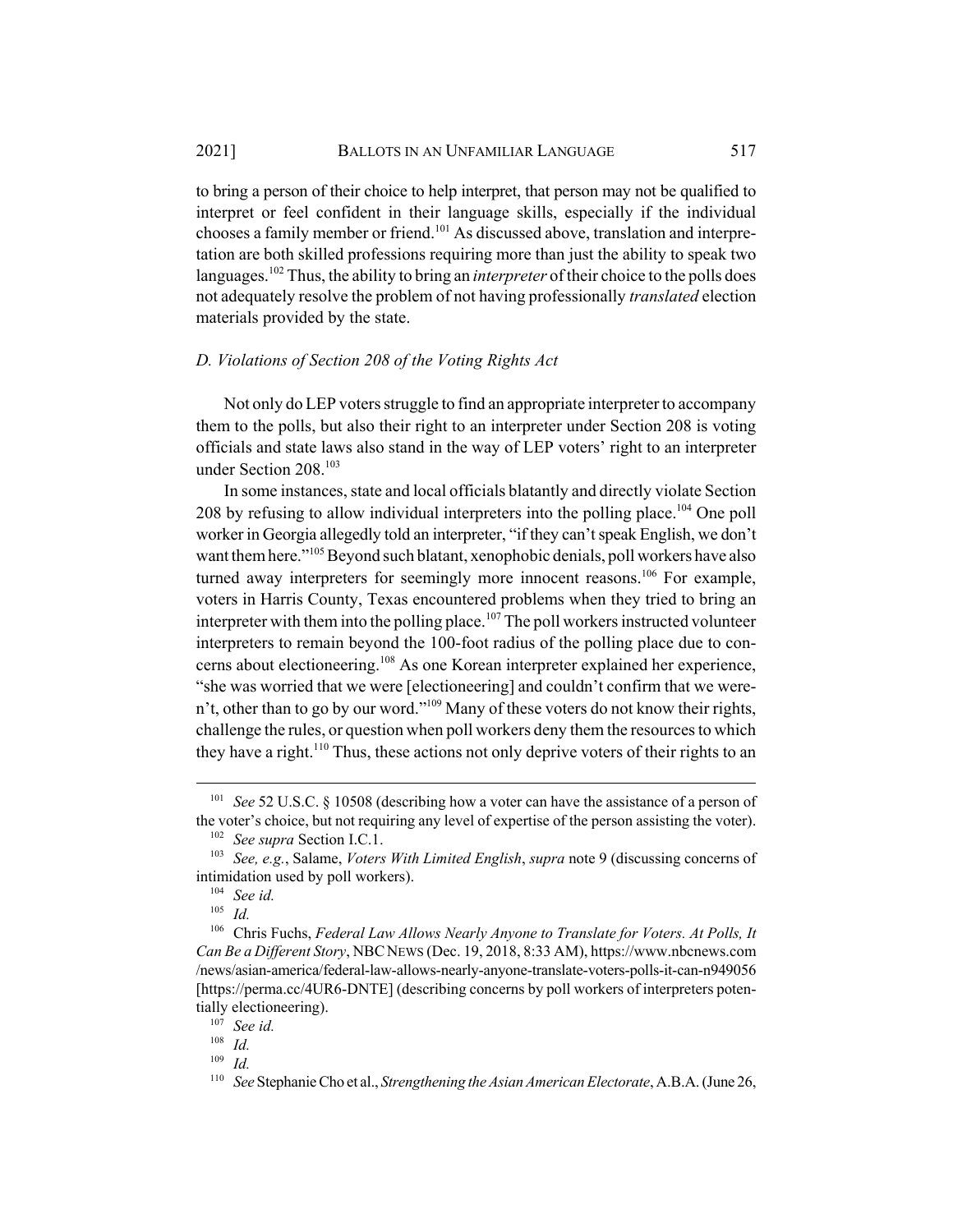to bring a person of their choice to help interpret, that person may not be qualified to interpret or feel confident in their language skills, especially if the individual chooses a family member or friend.<sup>101</sup> As discussed above, translation and interpretation are both skilled professions requiring more than just the ability to speak two languages.<sup>102</sup> Thus, the ability to bring an *interpreter* of their choice to the polls does not adequately resolve the problem of not having professionally *translated* election materials provided by the state.

#### *D. Violations of Section 208 of the Voting Rights Act*

Not only do LEP voters struggle to find an appropriate interpreter to accompany them to the polls, but also their right to an interpreter under Section 208 is voting officials and state laws also stand in the way of LEP voters' right to an interpreter under Section 208.103

In some instances, state and local officials blatantly and directly violate Section 208 by refusing to allow individual interpreters into the polling place.<sup>104</sup> One poll worker in Georgia allegedly told an interpreter, "if they can't speak English, we don't want them here."<sup>105</sup> Beyond such blatant, xenophobic denials, poll workers have also turned away interpreters for seemingly more innocent reasons.<sup>106</sup> For example, voters in Harris County, Texas encountered problems when they tried to bring an interpreter with them into the polling place.<sup>107</sup> The poll workers instructed volunteer interpreters to remain beyond the 100-foot radius of the polling place due to concerns about electioneering.<sup>108</sup> As one Korean interpreter explained her experience, "she was worried that we were [electioneering] and couldn't confirm that we weren't, other than to go by our word."<sup>109</sup> Many of these voters do not know their rights, challenge the rules, or question when poll workers deny them the resources to which they have a right.<sup>110</sup> Thus, these actions not only deprive voters of their rights to an

<sup>101</sup> *See* 52 U.S.C. § 10508 (describing how a voter can have the assistance of a person of the voter's choice, but not requiring any level of expertise of the person assisting the voter). <sup>102</sup> *See supra* Section I.C.1.

<sup>103</sup> *See, e.g.*, Salame, *Voters With Limited English*, *supra* note 9 (discussing concerns of intimidation used by poll workers).

<sup>104</sup> *See id.*

<sup>105</sup> *Id.*

<sup>106</sup> Chris Fuchs, *Federal Law Allows Nearly Anyone to Translate for Voters. At Polls, It Can Be a Different Story*, NBCNEWS (Dec. 19, 2018, 8:33 AM), https://www.nbcnews.com /news/asian-america/federal-law-allows-nearly-anyone-translate-voters-polls-it-can-n949056 [https://perma.cc/4UR6-DNTE] (describing concerns by poll workers of interpreters potentially electioneering).

<sup>107</sup> *See id.*

 $\frac{108}{109}$  *Id.* 

<sup>109</sup> *Id.*

<sup>110</sup> *See* Stephanie Cho et al., *Strengthening the Asian American Electorate*, A.B.A. (June 26,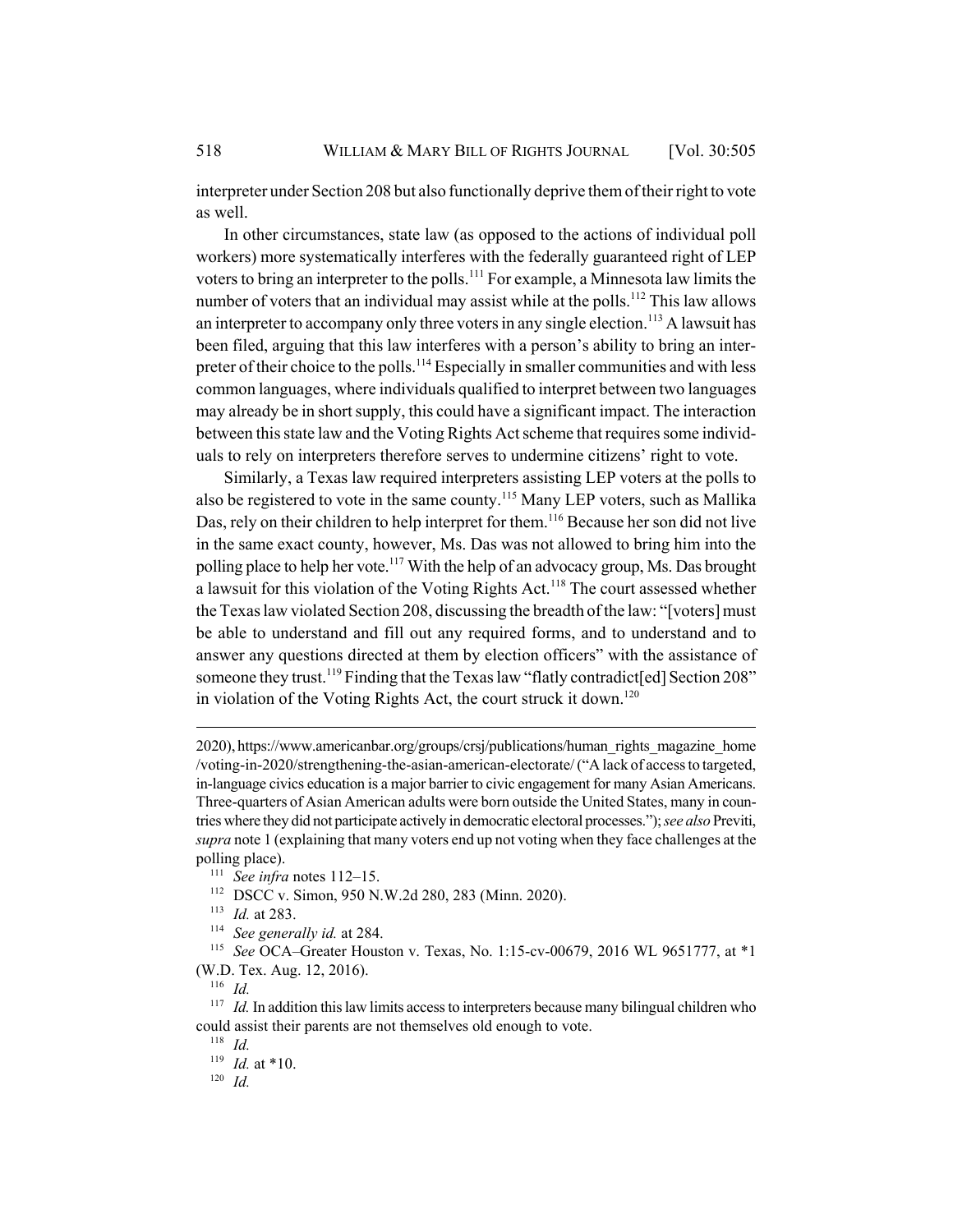interpreter under Section 208 but also functionally deprive them of their right to vote as well.

In other circumstances, state law (as opposed to the actions of individual poll workers) more systematically interferes with the federally guaranteed right of LEP voters to bring an interpreter to the polls.<sup>111</sup> For example, a Minnesota law limits the number of voters that an individual may assist while at the polls.<sup>112</sup> This law allows an interpreter to accompany only three voters in any single election.<sup>113</sup> A lawsuit has been filed, arguing that this law interferes with a person's ability to bring an interpreter of their choice to the polls.<sup>114</sup> Especially in smaller communities and with less common languages, where individuals qualified to interpret between two languages may already be in short supply, this could have a significant impact. The interaction between this state law and the Voting Rights Act scheme that requires some individuals to rely on interpreters therefore serves to undermine citizens' right to vote.

Similarly, a Texas law required interpreters assisting LEP voters at the polls to also be registered to vote in the same county.115 Many LEP voters, such as Mallika Das, rely on their children to help interpret for them.<sup>116</sup> Because her son did not live in the same exact county, however, Ms. Das was not allowed to bring him into the polling place to help her vote.<sup>117</sup> With the help of an advocacy group, Ms. Das brought a lawsuit for this violation of the Voting Rights Act.<sup>118</sup> The court assessed whether the Texas law violated Section 208, discussing the breadth of the law: "[voters] must be able to understand and fill out any required forms, and to understand and to answer any questions directed at them by election officers" with the assistance of someone they trust.<sup>119</sup> Finding that the Texas law "flatly contradict [ed] Section 208" in violation of the Voting Rights Act, the court struck it down.<sup>120</sup>

<sup>113</sup> *Id.* at 283.

<sup>114</sup> *See generally id.* at 284.

<sup>115</sup> *See* OCA–Greater Houston v. Texas, No. 1:15-cv-00679, 2016 WL 9651777, at \*1 (W.D. Tex. Aug. 12, 2016).

<sup>116</sup> *Id.*

<sup>119</sup> *Id.* at \*10.

<sup>120</sup> *Id.*

<sup>2020),</sup> https://www.americanbar.org/groups/crsj/publications/human\_rights\_magazine\_home /voting-in-2020/strengthening-the-asian-american-electorate/ ("A lack of access to targeted, in-language civics education is a major barrier to civic engagement for many Asian Americans. Three-quarters of Asian American adults were born outside the United States, many in countries where they did not participate actively in democratic electoral processes."); *see also* Previti, *supra* note 1 (explaining that many voters end up not voting when they face challenges at the polling place).

<sup>111</sup> *See infra* notes 112–15.

<sup>112</sup> DSCC v. Simon, 950 N.W.2d 280, 283 (Minn. 2020).

<sup>&</sup>lt;sup>117</sup> *Id.* In addition this law limits access to interpreters because many bilingual children who could assist their parents are not themselves old enough to vote.

<sup>118</sup> *Id.*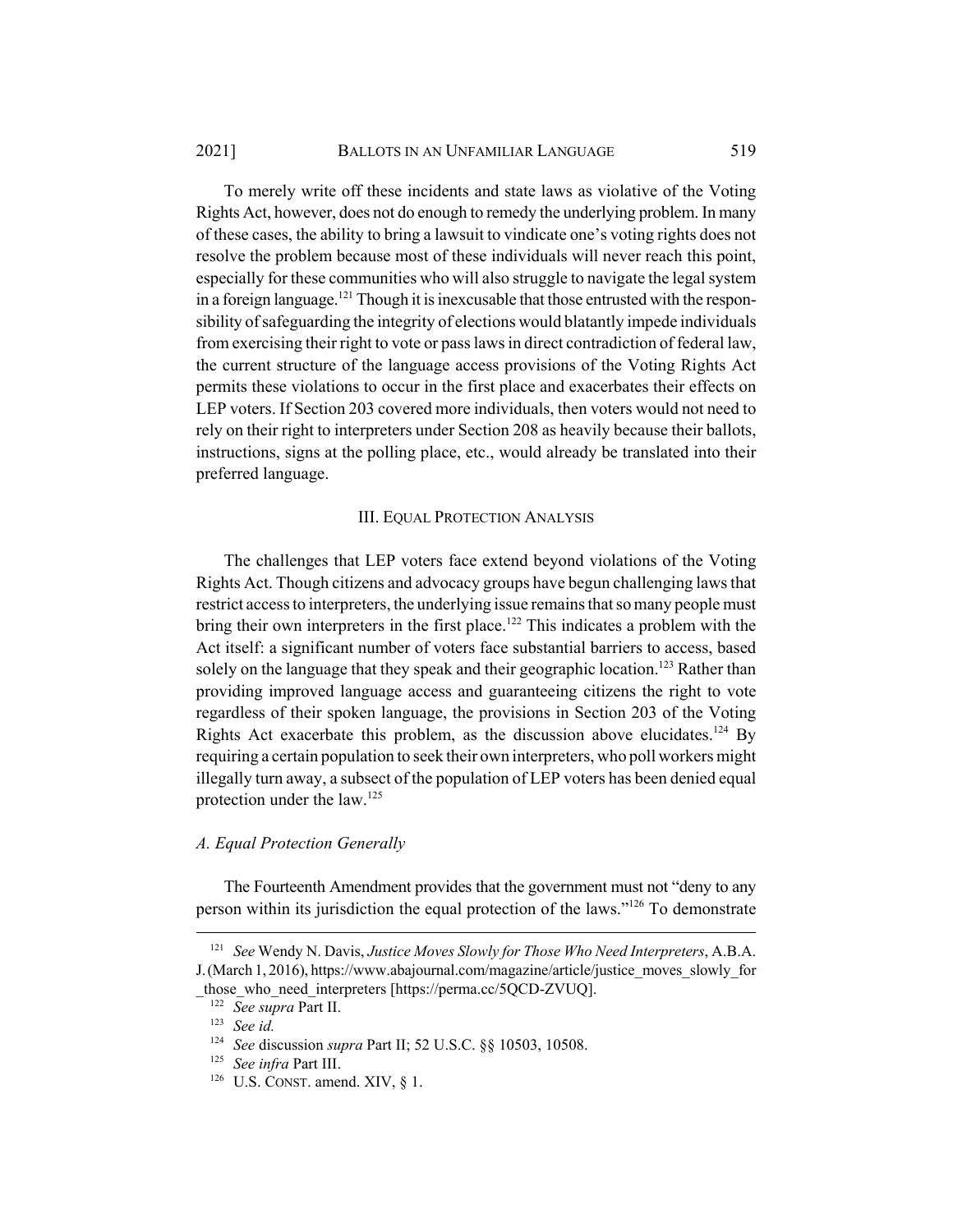#### 2021] BALLOTS IN AN UNFAMILIAR LANGUAGE 519

To merely write off these incidents and state laws as violative of the Voting Rights Act, however, does not do enough to remedy the underlying problem. In many of these cases, the ability to bring a lawsuit to vindicate one's voting rights does not resolve the problem because most of these individuals will never reach this point, especially for these communities who will also struggle to navigate the legal system in a foreign language.<sup>121</sup> Though it is inexcusable that those entrusted with the responsibility of safeguarding the integrity of elections would blatantly impede individuals from exercising their right to vote or pass laws in direct contradiction of federal law, the current structure of the language access provisions of the Voting Rights Act permits these violations to occur in the first place and exacerbates their effects on LEP voters. If Section 203 covered more individuals, then voters would not need to rely on their right to interpreters under Section 208 as heavily because their ballots, instructions, signs at the polling place, etc., would already be translated into their preferred language.

#### III. EQUAL PROTECTION ANALYSIS

The challenges that LEP voters face extend beyond violations of the Voting Rights Act. Though citizens and advocacy groups have begun challenging laws that restrict access to interpreters, the underlying issue remains that so many people must bring their own interpreters in the first place.<sup>122</sup> This indicates a problem with the Act itself: a significant number of voters face substantial barriers to access, based solely on the language that they speak and their geographic location.<sup>123</sup> Rather than providing improved language access and guaranteeing citizens the right to vote regardless of their spoken language, the provisions in Section 203 of the Voting Rights Act exacerbate this problem, as the discussion above elucidates.<sup>124</sup> By requiring a certain population to seek their own interpreters, who poll workers might illegally turn away, a subsect of the population of LEP voters has been denied equal protection under the law.125

### *A. Equal Protection Generally*

The Fourteenth Amendment provides that the government must not "deny to any person within its jurisdiction the equal protection of the laws."126 To demonstrate

<sup>121</sup> *See* Wendy N. Davis, *Justice Moves Slowly for Those Who Need Interpreters*, A.B.A. J.(March 1, 2016), https://www.abajournal.com/magazine/article/justice\_moves\_slowly\_for those who need interpreters [https://perma.cc/5QCD-ZVUQ].

<sup>122</sup> *See supra* Part II.

<sup>123</sup> *See id.*

<sup>124</sup> *See* discussion *supra* Part II; 52 U.S.C. §§ 10503, 10508.

<sup>125</sup> *See infra* Part III.

<sup>&</sup>lt;sup>126</sup> U.S. CONST. amend. XIV,  $\S$  1.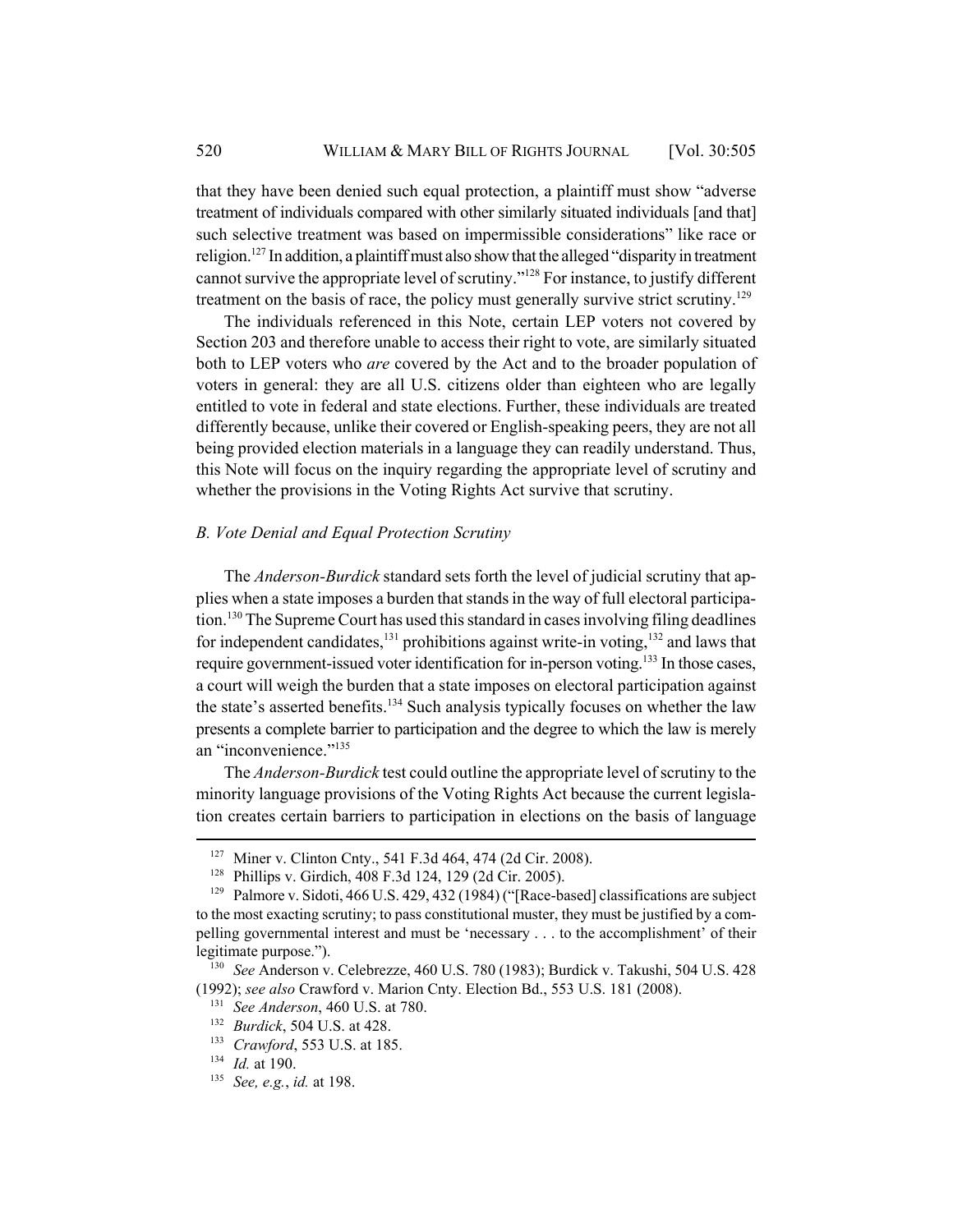that they have been denied such equal protection, a plaintiff must show "adverse treatment of individuals compared with other similarly situated individuals [and that] such selective treatment was based on impermissible considerations" like race or religion.<sup>127</sup> In addition, a plaintiff must also show that the alleged "disparity in treatment" cannot survive the appropriate level of scrutiny."<sup>128</sup> For instance, to justify different treatment on the basis of race, the policy must generally survive strict scrutiny.<sup>129</sup>

The individuals referenced in this Note, certain LEP voters not covered by Section 203 and therefore unable to access their right to vote, are similarly situated both to LEP voters who *are* covered by the Act and to the broader population of voters in general: they are all U.S. citizens older than eighteen who are legally entitled to vote in federal and state elections. Further, these individuals are treated differently because, unlike their covered or English-speaking peers, they are not all being provided election materials in a language they can readily understand. Thus, this Note will focus on the inquiry regarding the appropriate level of scrutiny and whether the provisions in the Voting Rights Act survive that scrutiny.

## *B. Vote Denial and Equal Protection Scrutiny*

The *Anderson-Burdick* standard sets forth the level of judicial scrutiny that applies when a state imposes a burden that stands in the way of full electoral participa- $\frac{130}{2}$  The Supreme Court has used this standard in cases involving filing deadlines for independent candidates, $131$  prohibitions against write-in voting, $132$  and laws that require government-issued voter identification for in-person voting.<sup>133</sup> In those cases, a court will weigh the burden that a state imposes on electoral participation against the state's asserted benefits.<sup>134</sup> Such analysis typically focuses on whether the law presents a complete barrier to participation and the degree to which the law is merely an "inconvenience."135

The *Anderson-Burdick* test could outline the appropriate level of scrutiny to the minority language provisions of the Voting Rights Act because the current legislation creates certain barriers to participation in elections on the basis of language

<sup>&</sup>lt;sup>127</sup> Miner v. Clinton Cntv., 541 F.3d 464, 474 (2d Cir. 2008).

<sup>128</sup> Phillips v. Girdich, 408 F.3d 124, 129 (2d Cir. 2005).

<sup>&</sup>lt;sup>129</sup> Palmore v. Sidoti, 466 U.S. 429, 432 (1984) ("[Race-based] classifications are subject to the most exacting scrutiny; to pass constitutional muster, they must be justified by a compelling governmental interest and must be 'necessary . . . to the accomplishment' of their legitimate purpose.").

<sup>130</sup> *See* Anderson v. Celebrezze, 460 U.S. 780 (1983); Burdick v. Takushi, 504 U.S. 428 (1992); *see also* Crawford v. Marion Cnty. Election Bd., 553 U.S. 181 (2008).

<sup>131</sup> *See Anderson*, 460 U.S. at 780.

<sup>132</sup> *Burdick*, 504 U.S. at 428.

<sup>133</sup> *Crawford*, 553 U.S. at 185.

<sup>134</sup> *Id.* at 190.

<sup>135</sup> *See, e.g.*, *id.* at 198.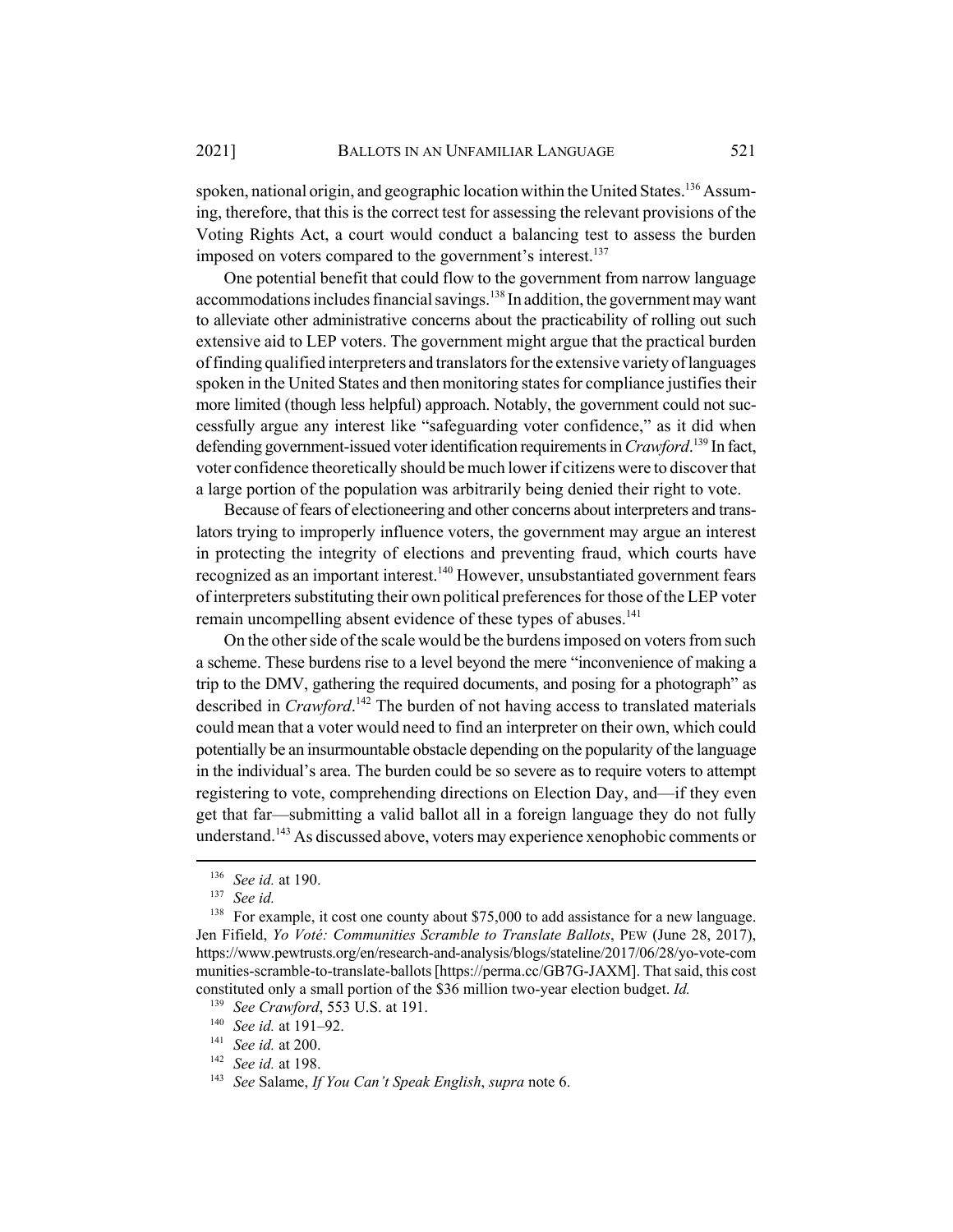spoken, national origin, and geographic location within the United States.<sup>136</sup> Assuming, therefore, that this is the correct test for assessing the relevant provisions of the Voting Rights Act, a court would conduct a balancing test to assess the burden imposed on voters compared to the government's interest.<sup>137</sup>

One potential benefit that could flow to the government from narrow language accommodations includes financial savings.<sup>138</sup> In addition, the government may want to alleviate other administrative concerns about the practicability of rolling out such extensive aid to LEP voters. The government might argue that the practical burden of finding qualified interpreters and translators for the extensive variety of languages spoken in the United States and then monitoring states for compliance justifies their more limited (though less helpful) approach. Notably, the government could not successfully argue any interest like "safeguarding voter confidence," as it did when defending government-issued voter identification requirements in *Crawford*. 139 In fact, voter confidence theoretically should be much lower if citizens were to discover that a large portion of the population was arbitrarily being denied their right to vote.

Because of fears of electioneering and other concerns about interpreters and translators trying to improperly influence voters, the government may argue an interest in protecting the integrity of elections and preventing fraud, which courts have recognized as an important interest.<sup>140</sup> However, unsubstantiated government fears of interpreters substituting their own political preferences for those of the LEP voter remain uncompelling absent evidence of these types of abuses.<sup>141</sup>

On the other side of the scale would be the burdens imposed on voters from such a scheme. These burdens rise to a level beyond the mere "inconvenience of making a trip to the DMV, gathering the required documents, and posing for a photograph" as described in *Crawford*. 142 The burden of not having access to translated materials could mean that a voter would need to find an interpreter on their own, which could potentially be an insurmountable obstacle depending on the popularity of the language in the individual's area. The burden could be so severe as to require voters to attempt registering to vote, comprehending directions on Election Day, and—if they even get that far—submitting a valid ballot all in a foreign language they do not fully understand.<sup>143</sup> As discussed above, voters may experience xenophobic comments or

<sup>136</sup> *See id.* at 190.

<sup>137</sup> *See id.*

<sup>&</sup>lt;sup>138</sup> For example, it cost one county about \$75,000 to add assistance for a new language. Jen Fifield, *Yo Voté: Communities Scramble to Translate Ballots*, PEW (June 28, 2017), https://www.pewtrusts.org/en/research-and-analysis/blogs/stateline/2017/06/28/yo-vote-com munities-scramble-to-translate-ballots [https://perma.cc/GB7G-JAXM]. That said, this cost constituted only a small portion of the \$36 million two-year election budget. *Id.*

<sup>139</sup> *See Crawford*, 553 U.S. at 191.

<sup>140</sup> *See id.* at 191–92.

<sup>141</sup> *See id.* at 200.

<sup>142</sup> *See id.* at 198.

<sup>143</sup> *See* Salame, *If You Can't Speak English*, *supra* note 6.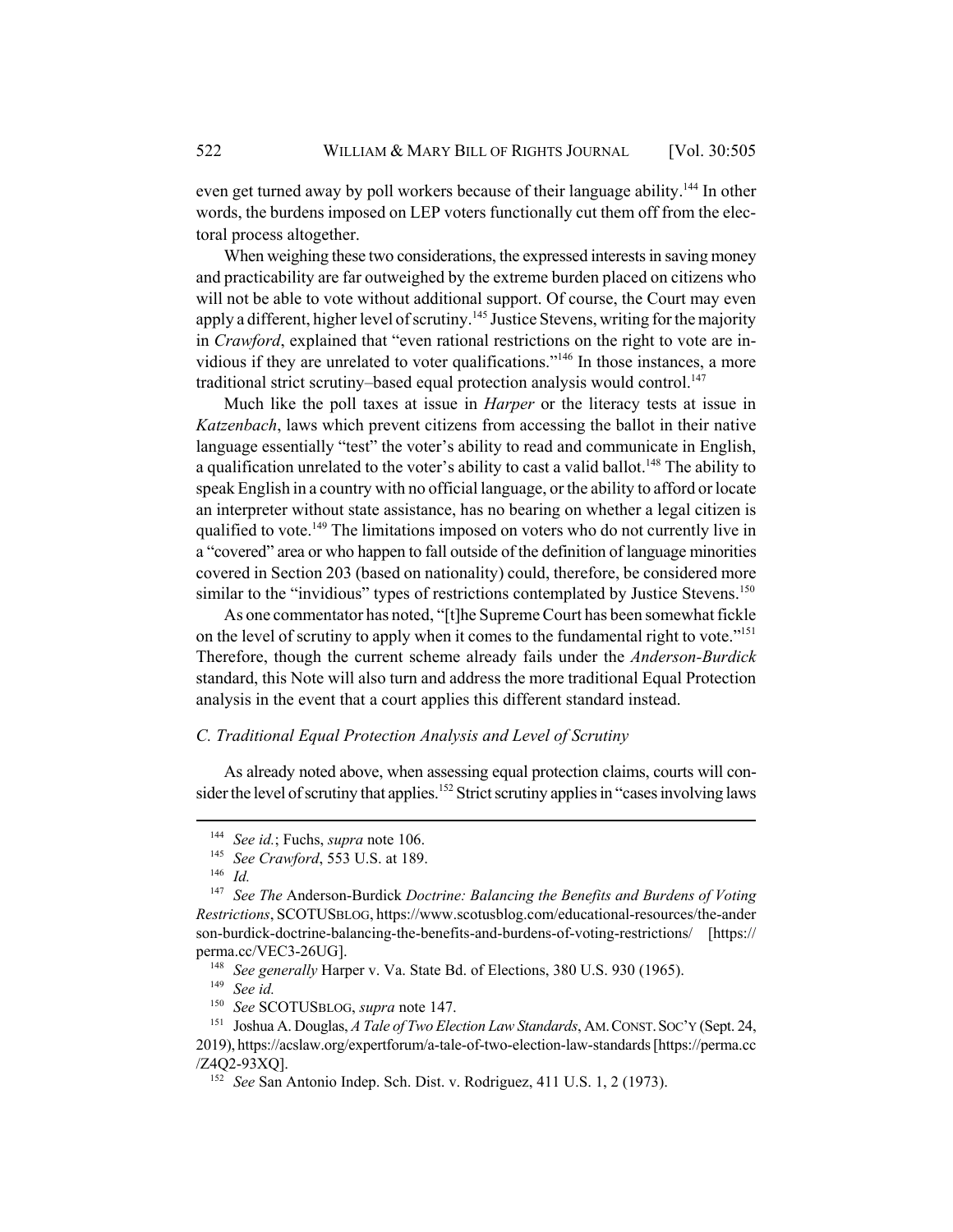even get turned away by poll workers because of their language ability.<sup>144</sup> In other words, the burdens imposed on LEP voters functionally cut them off from the electoral process altogether.

When weighing these two considerations, the expressed interests in saving money and practicability are far outweighed by the extreme burden placed on citizens who will not be able to vote without additional support. Of course, the Court may even apply a different, higher level of scrutiny.<sup>145</sup> Justice Stevens, writing for the majority in *Crawford*, explained that "even rational restrictions on the right to vote are invidious if they are unrelated to voter qualifications."<sup>146</sup> In those instances, a more traditional strict scrutiny–based equal protection analysis would control.<sup>147</sup>

Much like the poll taxes at issue in *Harper* or the literacy tests at issue in *Katzenbach*, laws which prevent citizens from accessing the ballot in their native language essentially "test" the voter's ability to read and communicate in English, a qualification unrelated to the voter's ability to cast a valid ballot.<sup>148</sup> The ability to speak English in a country with no official language, or the ability to afford or locate an interpreter without state assistance, has no bearing on whether a legal citizen is qualified to vote.<sup>149</sup> The limitations imposed on voters who do not currently live in a "covered" area or who happen to fall outside of the definition of language minorities covered in Section 203 (based on nationality) could, therefore, be considered more similar to the "invidious" types of restrictions contemplated by Justice Stevens.<sup>150</sup>

As one commentator has noted, "[t]he Supreme Court has been somewhat fickle on the level of scrutiny to apply when it comes to the fundamental right to vote."<sup>151</sup> Therefore, though the current scheme already fails under the *Anderson-Burdick* standard, this Note will also turn and address the more traditional Equal Protection analysis in the event that a court applies this different standard instead.

#### *C. Traditional Equal Protection Analysis and Level of Scrutiny*

As already noted above, when assessing equal protection claims, courts will consider the level of scrutiny that applies.<sup>152</sup> Strict scrutiny applies in "cases involving laws

<sup>144</sup> *See id.*; Fuchs, *supra* note 106.

<sup>145</sup> *See Crawford*, 553 U.S. at 189.

<sup>146</sup> *Id.*

<sup>147</sup> *See The* Anderson-Burdick *Doctrine: Balancing the Benefits and Burdens of Voting Restrictions*, SCOTUSBLOG, https://www.scotusblog.com/educational-resources/the-ander son-burdick-doctrine-balancing-the-benefits-and-burdens-of-voting-restrictions/ [https:// perma.cc/VEC3-26UG].

<sup>148</sup> *See generally* Harper v. Va. State Bd. of Elections, 380 U.S. 930 (1965).

<sup>149</sup> *See id.*

<sup>150</sup> *See* SCOTUSBLOG, *supra* note 147.

<sup>151</sup> Joshua A. Douglas, *A Tale of Two Election Law Standards*, AM.CONST.SOC'Y (Sept. 24, 2019), https://acslaw.org/expertforum/a-tale-of-two-election-law-standards [https://perma.cc /Z4Q2-93XQ].

<sup>152</sup> *See* San Antonio Indep. Sch. Dist. v. Rodriguez, 411 U.S. 1, 2 (1973).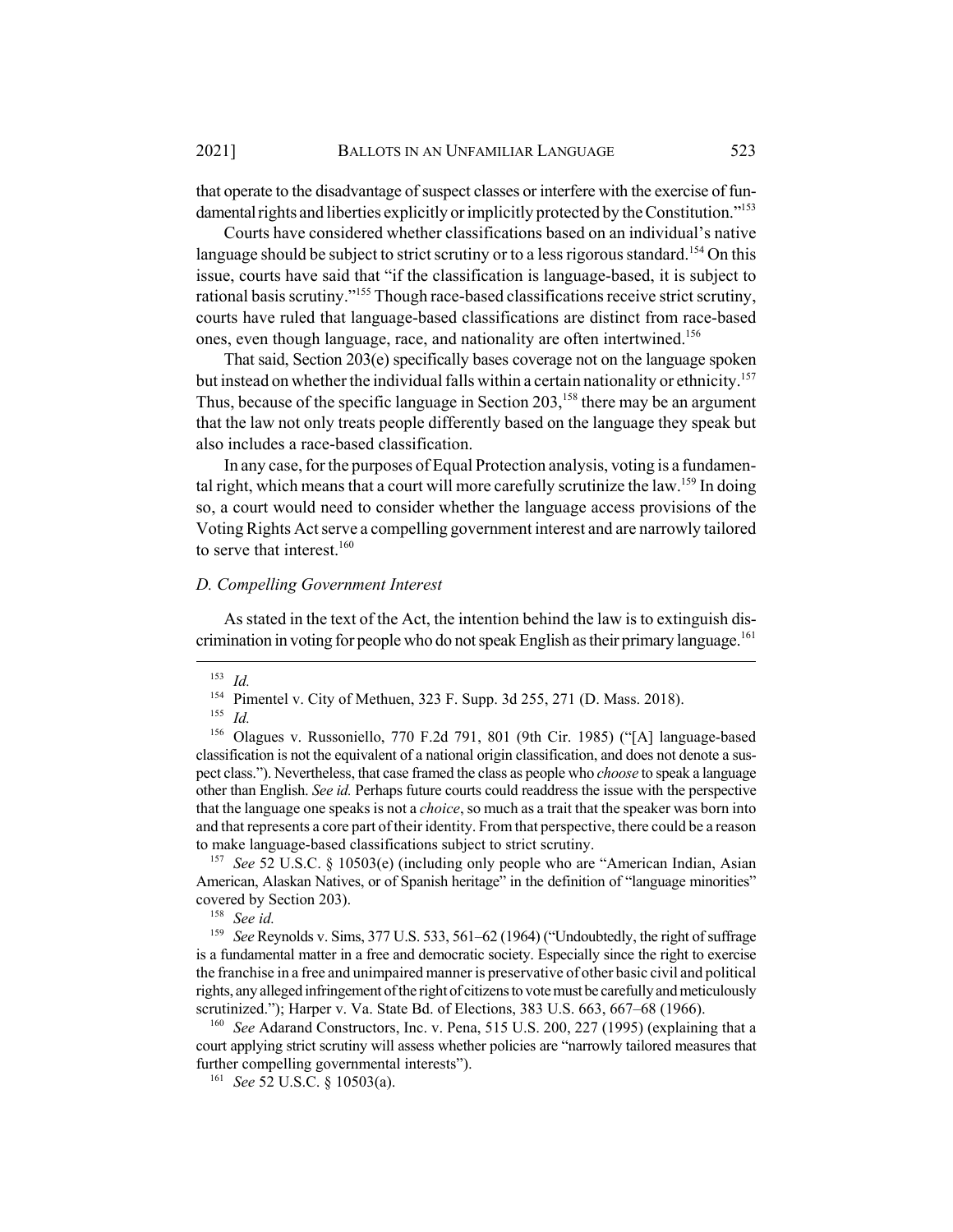that operate to the disadvantage of suspect classes or interfere with the exercise of fundamental rights and liberties explicitly or implicitly protected by the Constitution."<sup>153</sup>

Courts have considered whether classifications based on an individual's native language should be subject to strict scrutiny or to a less rigorous standard.<sup>154</sup> On this issue, courts have said that "if the classification is language-based, it is subject to rational basis scrutiny."<sup>155</sup> Though race-based classifications receive strict scrutiny, courts have ruled that language-based classifications are distinct from race-based ones, even though language, race, and nationality are often intertwined.<sup>156</sup>

That said, Section 203(e) specifically bases coverage not on the language spoken but instead on whether the individual falls within a certain nationality or ethnicity.<sup>157</sup> Thus, because of the specific language in Section  $203$ , <sup>158</sup> there may be an argument that the law not only treats people differently based on the language they speak but also includes a race-based classification.

In any case, for the purposes of Equal Protection analysis, voting is a fundamental right, which means that a court will more carefully scrutinize the law.<sup>159</sup> In doing so, a court would need to consider whether the language access provisions of the Voting Rights Act serve a compelling government interest and are narrowly tailored to serve that interest.<sup>160</sup>

# *D. Compelling Government Interest*

As stated in the text of the Act, the intention behind the law is to extinguish discrimination in voting for people who do not speak English as their primary language.<sup>161</sup>

<sup>157</sup> *See* 52 U.S.C. § 10503(e) (including only people who are "American Indian, Asian American, Alaskan Natives, or of Spanish heritage" in the definition of "language minorities" covered by Section 203).

<sup>159</sup> *See* Reynolds v. Sims, 377 U.S. 533, 561–62 (1964) ("Undoubtedly, the right of suffrage is a fundamental matter in a free and democratic society. Especially since the right to exercise the franchise in a free and unimpaired manner is preservative of other basic civil and political rights, any alleged infringement of the right of citizens to vote must be carefully and meticulously scrutinized."); Harper v. Va. State Bd. of Elections, 383 U.S. 663, 667–68 (1966).

<sup>160</sup> *See* Adarand Constructors, Inc. v. Pena, 515 U.S. 200, 227 (1995) (explaining that a court applying strict scrutiny will assess whether policies are "narrowly tailored measures that further compelling governmental interests").

 $\frac{153}{154}$  *Id.* 

<sup>&</sup>lt;sup>154</sup> Pimentel v. City of Methuen, 323 F. Supp. 3d 255, 271 (D. Mass. 2018).

 $\frac{155}{156}$  *Id.* 

<sup>156</sup> Olagues v. Russoniello, 770 F.2d 791, 801 (9th Cir. 1985) ("[A] language-based classification is not the equivalent of a national origin classification, and does not denote a suspect class."). Nevertheless, that case framed the class as people who *choose* to speak a language other than English. *See id.* Perhaps future courts could readdress the issue with the perspective that the language one speaks is not a *choice*, so much as a trait that the speaker was born into and that represents a core part of their identity. From that perspective, there could be a reason to make language-based classifications subject to strict scrutiny.

<sup>158</sup> *See id.*

<sup>161</sup> *See* 52 U.S.C. § 10503(a).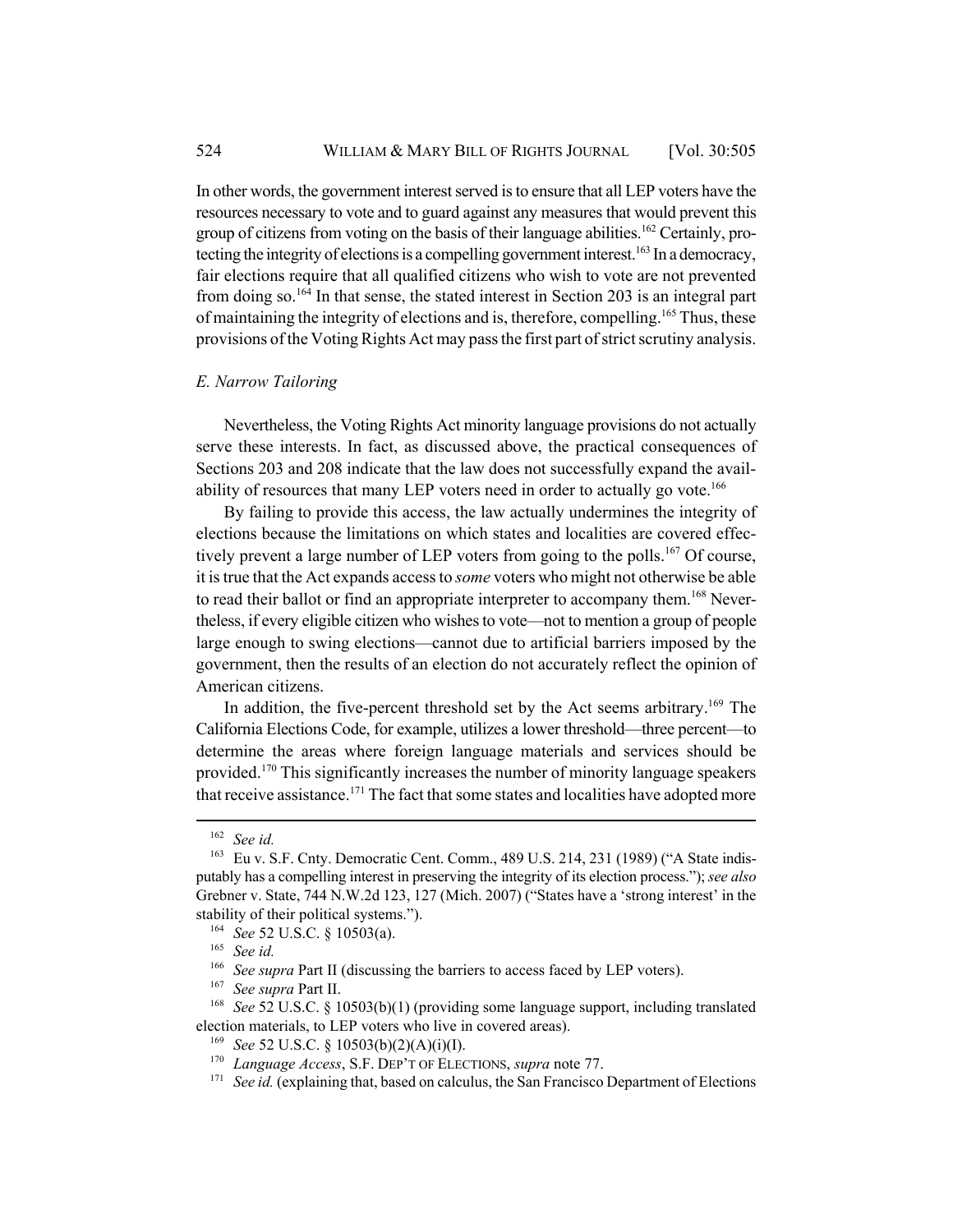In other words, the government interest served is to ensure that all LEP voters have the resources necessary to vote and to guard against any measures that would prevent this group of citizens from voting on the basis of their language abilities.<sup>162</sup> Certainly, protecting the integrity of elections is a compelling government interest.<sup>163</sup> In a democracy, fair elections require that all qualified citizens who wish to vote are not prevented from doing so.<sup>164</sup> In that sense, the stated interest in Section 203 is an integral part of maintaining the integrity of elections and is, therefore, compelling.<sup>165</sup> Thus, these provisions of the Voting Rights Act may pass the first part of strict scrutiny analysis.

#### *E. Narrow Tailoring*

Nevertheless, the Voting Rights Act minority language provisions do not actually serve these interests. In fact, as discussed above, the practical consequences of Sections 203 and 208 indicate that the law does not successfully expand the availability of resources that many LEP voters need in order to actually go vote.<sup>166</sup>

By failing to provide this access, the law actually undermines the integrity of elections because the limitations on which states and localities are covered effectively prevent a large number of LEP voters from going to the polls.<sup>167</sup> Of course, it is true that the Act expands access to *some* voters who might not otherwise be able to read their ballot or find an appropriate interpreter to accompany them.<sup>168</sup> Nevertheless, if every eligible citizen who wishes to vote—not to mention a group of people large enough to swing elections—cannot due to artificial barriers imposed by the government, then the results of an election do not accurately reflect the opinion of American citizens.

In addition, the five-percent threshold set by the Act seems arbitrary.<sup>169</sup> The California Elections Code, for example, utilizes a lower threshold—three percent—to determine the areas where foreign language materials and services should be provided.<sup>170</sup> This significantly increases the number of minority language speakers that receive assistance.<sup>171</sup> The fact that some states and localities have adopted more

<sup>162</sup> *See id.*

<sup>163</sup> Eu v. S.F. Cnty. Democratic Cent. Comm., 489 U.S. 214, 231 (1989) ("A State indisputably has a compelling interest in preserving the integrity of its election process."); *see also* Grebner v. State, 744 N.W.2d 123, 127 (Mich. 2007) ("States have a 'strong interest' in the stability of their political systems.").

<sup>164</sup> *See* 52 U.S.C. § 10503(a).

<sup>165</sup> *See id.*

<sup>&</sup>lt;sup>166</sup> *See supra* Part II (discussing the barriers to access faced by LEP voters).

<sup>167</sup> *See supra* Part II.

<sup>168</sup> *See* 52 U.S.C. § 10503(b)(1) (providing some language support, including translated election materials, to LEP voters who live in covered areas).

<sup>169</sup> *See* 52 U.S.C. § 10503(b)(2)(A)(i)(I).

<sup>170</sup> *Language Access*, S.F. DEP'T OF ELECTIONS, *supra* note 77.

<sup>&</sup>lt;sup>171</sup> *See id.* (explaining that, based on calculus, the San Francisco Department of Elections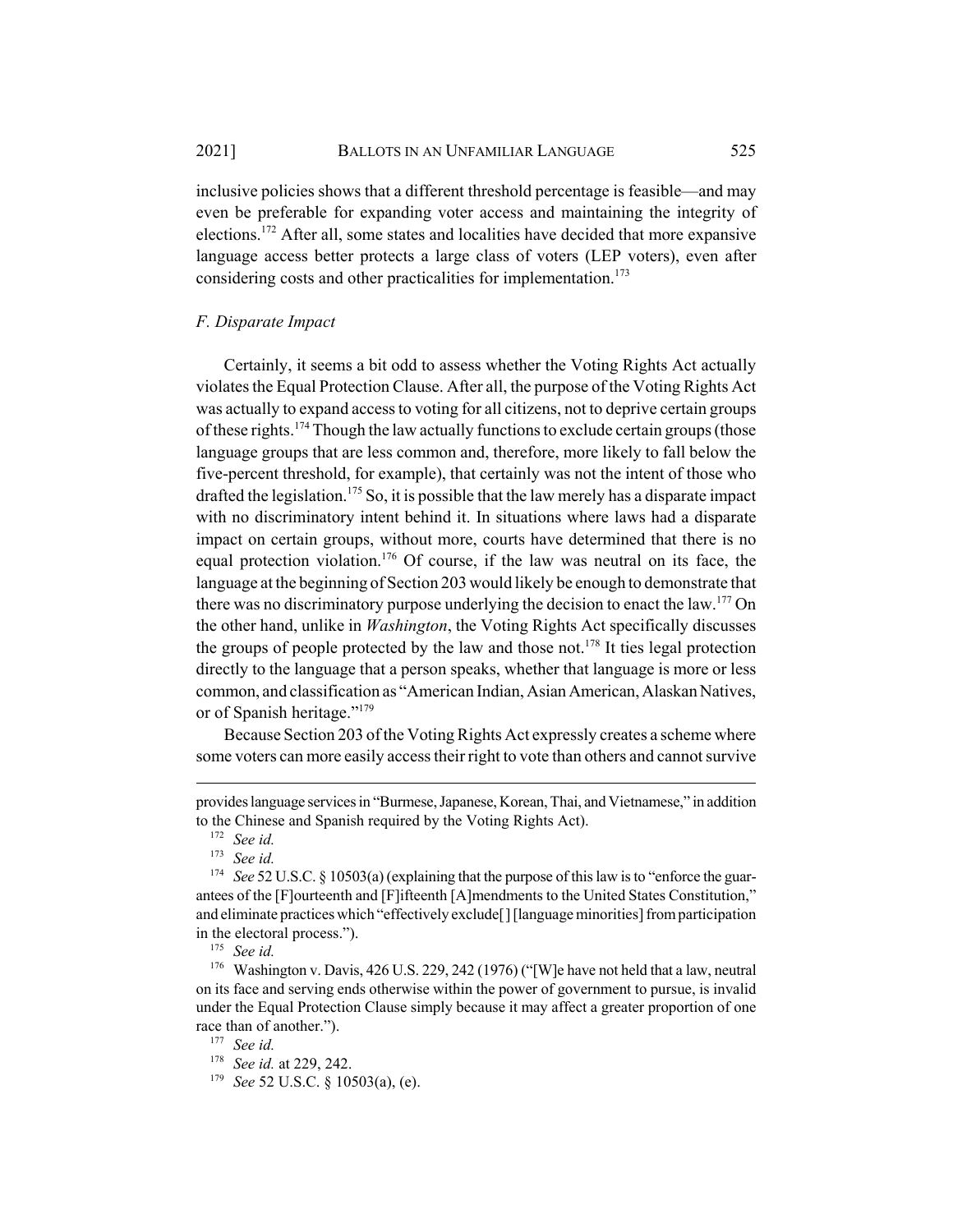inclusive policies shows that a different threshold percentage is feasible—and may even be preferable for expanding voter access and maintaining the integrity of elections.<sup>172</sup> After all, some states and localities have decided that more expansive language access better protects a large class of voters (LEP voters), even after considering costs and other practicalities for implementation.<sup>173</sup>

#### *F. Disparate Impact*

Certainly, it seems a bit odd to assess whether the Voting Rights Act actually violates the Equal Protection Clause. After all, the purpose of the Voting Rights Act was actually to expand access to voting for all citizens, not to deprive certain groups of these rights.<sup>174</sup> Though the law actually functions to exclude certain groups (those language groups that are less common and, therefore, more likely to fall below the five-percent threshold, for example), that certainly was not the intent of those who drafted the legislation.<sup>175</sup> So, it is possible that the law merely has a disparate impact with no discriminatory intent behind it. In situations where laws had a disparate impact on certain groups, without more, courts have determined that there is no equal protection violation.<sup>176</sup> Of course, if the law was neutral on its face, the language at the beginning of Section 203 would likely be enough to demonstrate that there was no discriminatory purpose underlying the decision to enact the law.<sup>177</sup> On the other hand, unlike in *Washington*, the Voting Rights Act specifically discusses the groups of people protected by the law and those not.<sup>178</sup> It ties legal protection directly to the language that a person speaks, whether that language is more or less common, and classification as "American Indian, Asian American, Alaskan Natives, or of Spanish heritage."<sup>179</sup>

Because Section 203 of the Voting Rights Act expressly creates a scheme where some voters can more easily access their right to vote than others and cannot survive

provides language services in "Burmese, Japanese, Korean, Thai, and Vietnamese," in addition to the Chinese and Spanish required by the Voting Rights Act).

<sup>172</sup> *See id.*

<sup>173</sup> *See id.*

<sup>&</sup>lt;sup>174</sup> *See* 52 U.S.C. § 10503(a) (explaining that the purpose of this law is to "enforce the guarantees of the [F]ourteenth and [F]ifteenth [A]mendments to the United States Constitution," and eliminate practices which "effectively exclude[] [language minorities] from participation in the electoral process.").

<sup>175</sup> *See id.*

<sup>&</sup>lt;sup>176</sup> Washington v. Davis, 426 U.S. 229, 242 (1976) ("[W]e have not held that a law, neutral on its face and serving ends otherwise within the power of government to pursue, is invalid under the Equal Protection Clause simply because it may affect a greater proportion of one race than of another.").

<sup>177</sup> *See id.*

<sup>178</sup> *See id.* at 229, 242.

<sup>179</sup> *See* 52 U.S.C. § 10503(a), (e).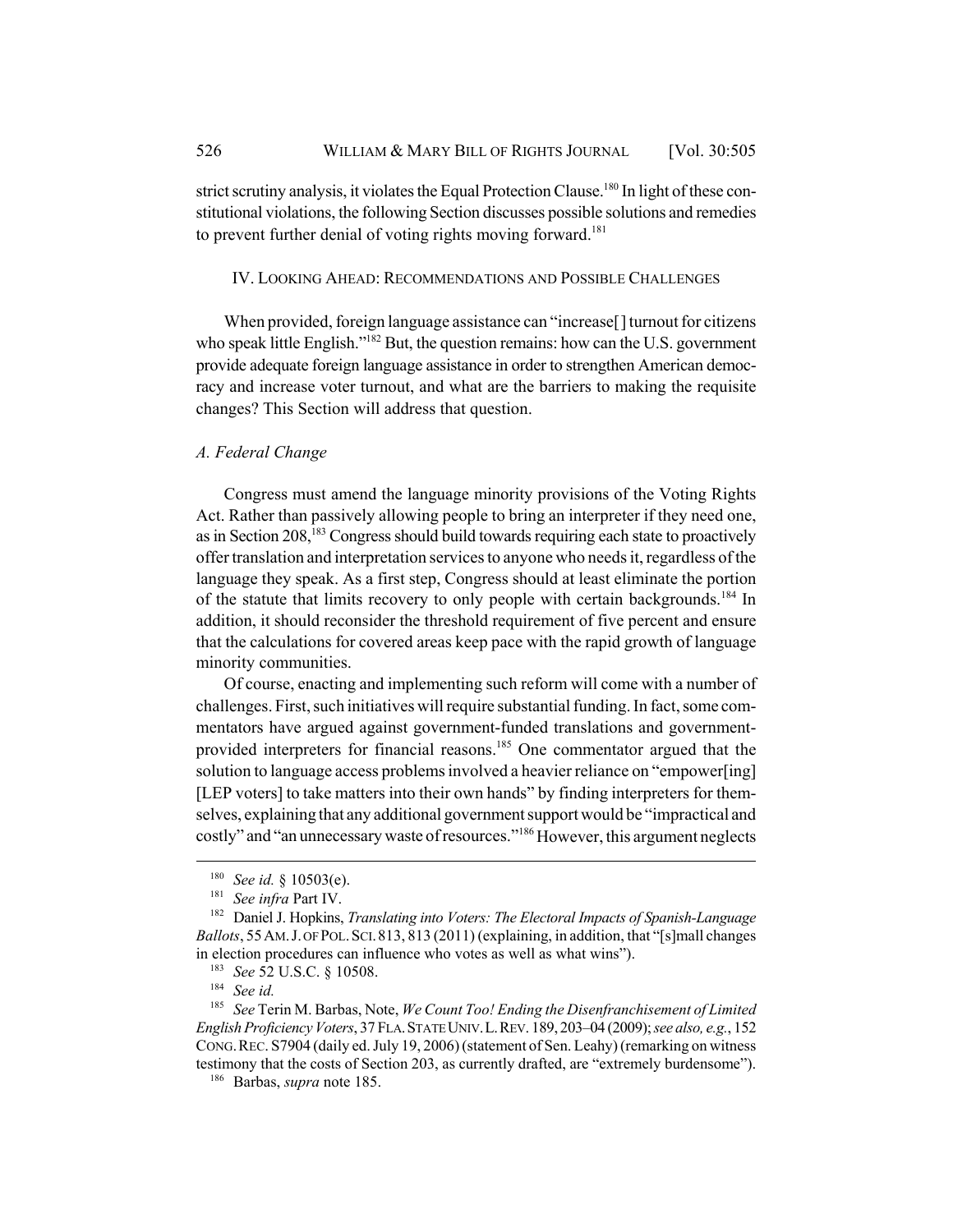strict scrutiny analysis, it violates the Equal Protection Clause.<sup>180</sup> In light of these constitutional violations, the following Section discusses possible solutions and remedies to prevent further denial of voting rights moving forward.<sup>181</sup>

#### IV. LOOKING AHEAD: RECOMMENDATIONS AND POSSIBLE CHALLENGES

When provided, foreign language assistance can "increase[] turnout for citizens who speak little English."<sup>182</sup> But, the question remains: how can the U.S. government provide adequate foreign language assistance in order to strengthen American democracy and increase voter turnout, and what are the barriers to making the requisite changes? This Section will address that question.

#### *A. Federal Change*

Congress must amend the language minority provisions of the Voting Rights Act. Rather than passively allowing people to bring an interpreter if they need one, as in Section 208,<sup>183</sup> Congress should build towards requiring each state to proactively offer translation and interpretation services to anyone who needs it, regardless of the language they speak. As a first step, Congress should at least eliminate the portion of the statute that limits recovery to only people with certain backgrounds.<sup>184</sup> In addition, it should reconsider the threshold requirement of five percent and ensure that the calculations for covered areas keep pace with the rapid growth of language minority communities.

Of course, enacting and implementing such reform will come with a number of challenges. First, such initiatives will require substantial funding. In fact, some commentators have argued against government-funded translations and governmentprovided interpreters for financial reasons.<sup>185</sup> One commentator argued that the solution to language access problems involved a heavier reliance on "empower[ing] [LEP voters] to take matters into their own hands" by finding interpreters for themselves, explaining that any additional government support would be "impractical and costly" and "an unnecessary waste of resources."186 However, this argument neglects

<sup>&</sup>lt;sup>180</sup> *See id.* § 10503(e).<br><sup>181</sup> *See infra* Port IV.

See infra Part IV.

<sup>182</sup> Daniel J. Hopkins, *Translating into Voters: The Electoral Impacts of Spanish-Language Ballots*, 55AM.J. OF POL.SCI.813, 813 (2011) (explaining, in addition, that "[s]mall changes in election procedures can influence who votes as well as what wins").

<sup>183</sup> *See* 52 U.S.C. § 10508.

<sup>&</sup>lt;sup>184</sup> *See id.*<br><sup>185</sup> *See* Te.

<sup>185</sup> *See* Terin M. Barbas, Note, *We Count Too! Ending the Disenfranchisement of Limited English Proficiency Voters*, 37 FLA.STATE UNIV.L.REV. 189, 203–04 (2009); *see also, e.g.*, 152 CONG.REC. S7904 (daily ed. July 19, 2006) (statement of Sen. Leahy) (remarking on witness testimony that the costs of Section 203, as currently drafted, are "extremely burdensome").

<sup>186</sup> Barbas, *supra* note 185.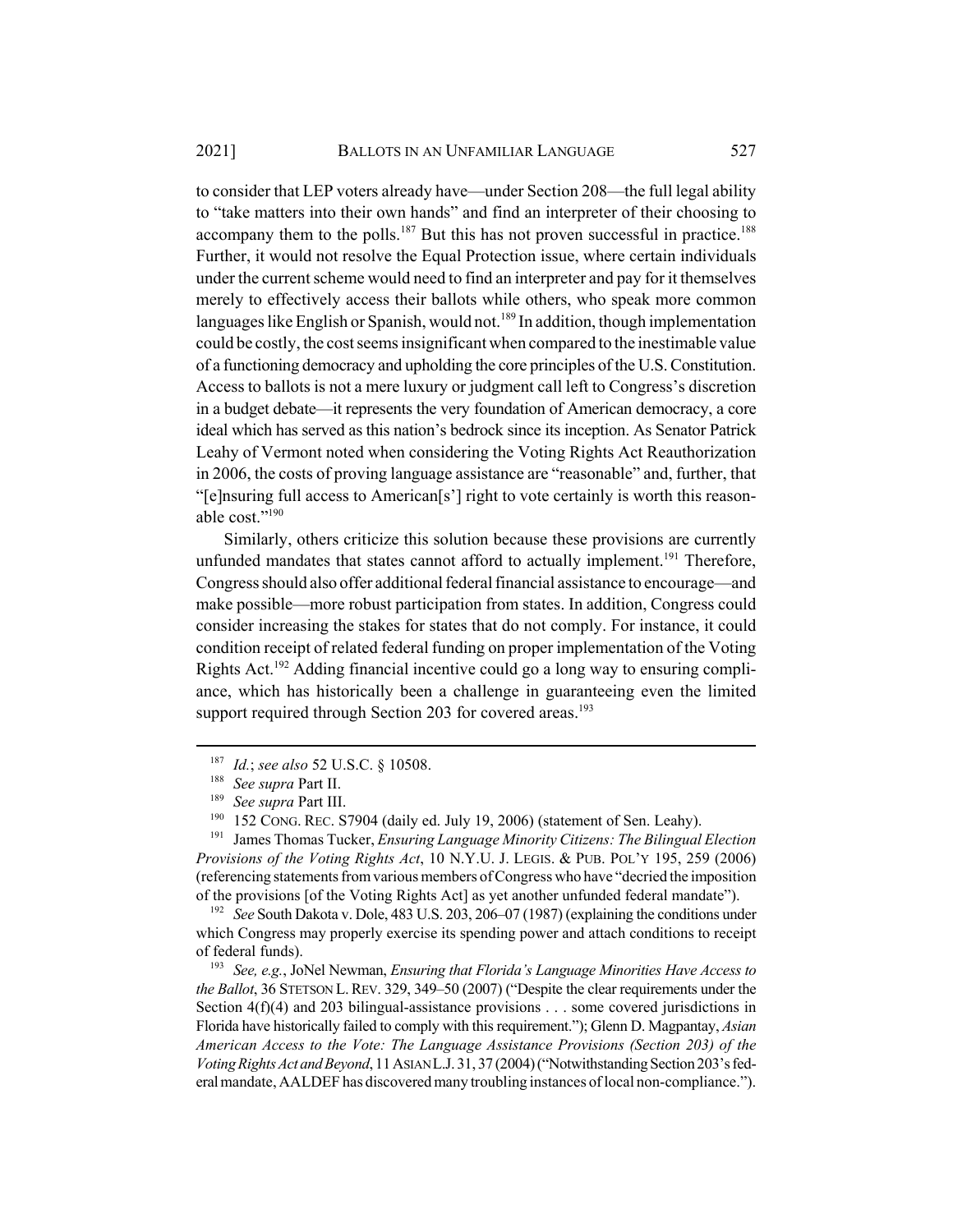to consider that LEP voters already have—under Section 208—the full legal ability to "take matters into their own hands" and find an interpreter of their choosing to accompany them to the polls.<sup>187</sup> But this has not proven successful in practice.<sup>188</sup> Further, it would not resolve the Equal Protection issue, where certain individuals under the current scheme would need to find an interpreter and pay for it themselves merely to effectively access their ballots while others, who speak more common languages like English or Spanish, would not.<sup>189</sup> In addition, though implementation could be costly, the cost seems insignificant when compared to the inestimable value of a functioning democracy and upholding the core principles of the U.S. Constitution. Access to ballots is not a mere luxury or judgment call left to Congress's discretion in a budget debate—it represents the very foundation of American democracy, a core ideal which has served as this nation's bedrock since its inception. As Senator Patrick Leahy of Vermont noted when considering the Voting Rights Act Reauthorization in 2006, the costs of proving language assistance are "reasonable" and, further, that "[e]nsuring full access to American[s'] right to vote certainly is worth this reasonable cost."190

Similarly, others criticize this solution because these provisions are currently unfunded mandates that states cannot afford to actually implement.<sup>191</sup> Therefore, Congress should also offer additional federal financial assistance to encourage—and make possible—more robust participation from states. In addition, Congress could consider increasing the stakes for states that do not comply. For instance, it could condition receipt of related federal funding on proper implementation of the Voting Rights Act.<sup>192</sup> Adding financial incentive could go a long way to ensuring compliance, which has historically been a challenge in guaranteeing even the limited support required through Section 203 for covered areas.<sup>193</sup>

<sup>191</sup> James Thomas Tucker, *Ensuring Language Minority Citizens: The Bilingual Election Provisions of the Voting Rights Act*, 10 N.Y.U. J. LEGIS. & PUB. POL'Y 195, 259 (2006) (referencing statements from various members of Congress who have "decried the imposition of the provisions [of the Voting Rights Act] as yet another unfunded federal mandate").

<sup>192</sup> *See* South Dakota v. Dole, 483 U.S. 203, 206–07 (1987) (explaining the conditions under which Congress may properly exercise its spending power and attach conditions to receipt of federal funds).

<sup>193</sup> *See, e.g.*, JoNel Newman, *Ensuring that Florida's Language Minorities Have Access to the Ballot*, 36 STETSON L. REV. 329, 349–50 (2007) ("Despite the clear requirements under the Section  $4(f)(4)$  and 203 bilingual-assistance provisions  $\dots$  some covered jurisdictions in Florida have historically failed to comply with this requirement."); Glenn D. Magpantay, *Asian American Access to the Vote: The Language Assistance Provisions (Section 203) of the Voting Rights Act and Beyond*, 11 ASIAN L.J. 31, 37 (2004) ("Notwithstanding Section 203's federal mandate, AALDEF has discovered many troubling instances of local non-compliance.").

<sup>187</sup> *Id.*; *see also* 52 U.S.C. § 10508.

<sup>188</sup> *See supra* Part II.

<sup>189</sup> *See supra* Part III.

<sup>&</sup>lt;sup>190</sup> 152 CONG. REC. S7904 (daily ed. July 19, 2006) (statement of Sen. Leahy).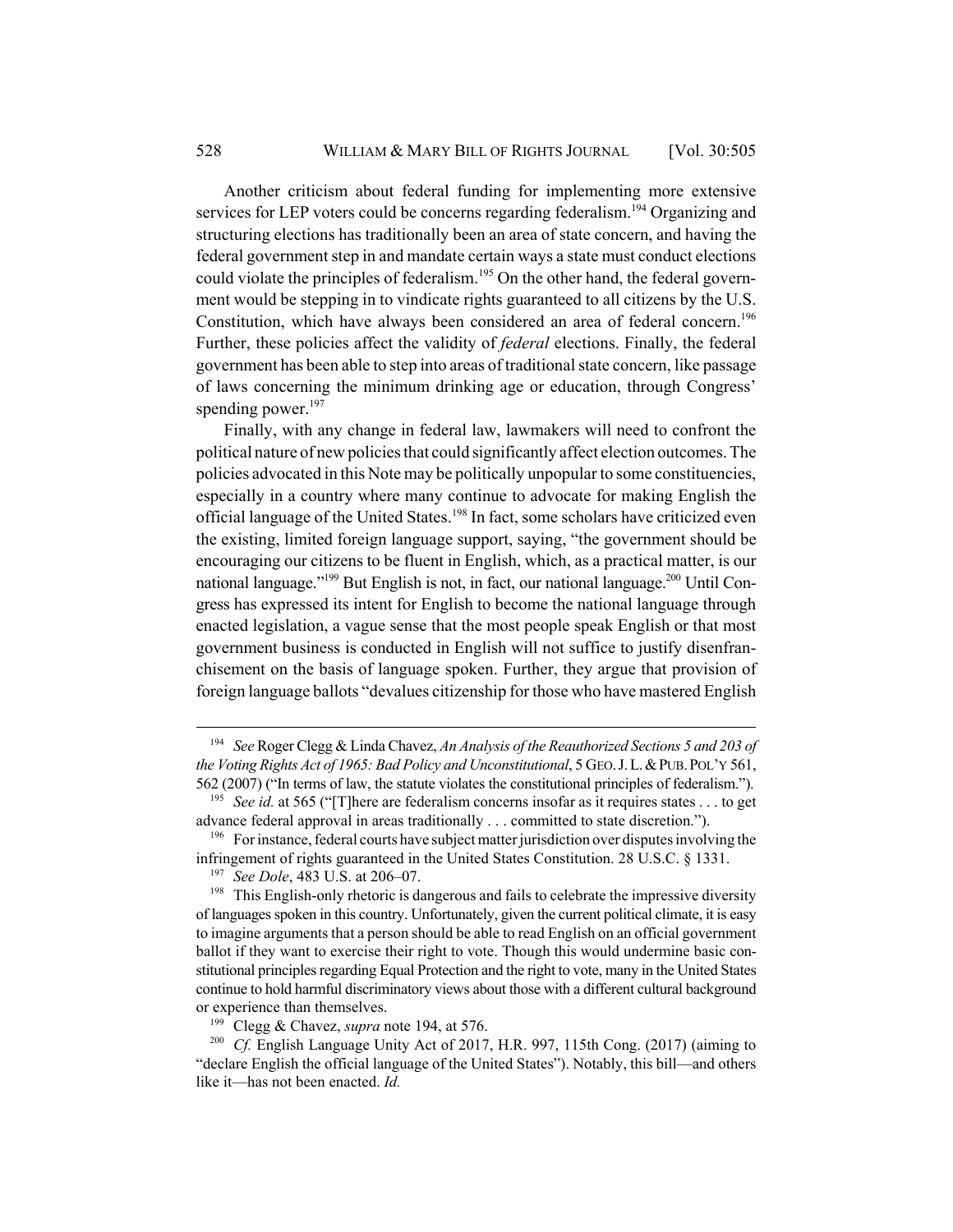Another criticism about federal funding for implementing more extensive services for LEP voters could be concerns regarding federalism.<sup>194</sup> Organizing and structuring elections has traditionally been an area of state concern, and having the federal government step in and mandate certain ways a state must conduct elections could violate the principles of federalism.<sup>195</sup> On the other hand, the federal government would be stepping in to vindicate rights guaranteed to all citizens by the U.S. Constitution, which have always been considered an area of federal concern.<sup>196</sup> Further, these policies affect the validity of *federal* elections. Finally, the federal government has been able to step into areas of traditional state concern, like passage of laws concerning the minimum drinking age or education, through Congress' spending power. $197$ 

Finally, with any change in federal law, lawmakers will need to confront the political nature of new policies that could significantly affect election outcomes. The policies advocated in this Note may be politically unpopular to some constituencies, especially in a country where many continue to advocate for making English the official language of the United States.<sup>198</sup> In fact, some scholars have criticized even the existing, limited foreign language support, saying, "the government should be encouraging our citizens to be fluent in English, which, as a practical matter, is our national language."<sup>199</sup> But English is not, in fact, our national language.<sup>200</sup> Until Congress has expressed its intent for English to become the national language through enacted legislation, a vague sense that the most people speak English or that most government business is conducted in English will not suffice to justify disenfranchisement on the basis of language spoken. Further, they argue that provision of foreign language ballots "devalues citizenship for those who have mastered English

<sup>194</sup> *See* Roger Clegg & Linda Chavez, *An Analysis of the Reauthorized Sections 5 and 203 of the Voting Rights Act of 1965: Bad Policy and Unconstitutional*, 5 GEO.J.L.&PUB.POL'Y 561, 562 (2007) ("In terms of law, the statute violates the constitutional principles of federalism.").

<sup>195</sup> *See id.* at 565 ("[T]here are federalism concerns insofar as it requires states . . . to get advance federal approval in areas traditionally . . . committed to state discretion.").

 $196$  For instance, federal courts have subject matter jurisdiction over disputes involving the infringement of rights guaranteed in the United States Constitution. 28 U.S.C. § 1331.

<sup>197</sup> *See Dole*, 483 U.S. at 206–07.

<sup>&</sup>lt;sup>198</sup> This English-only rhetoric is dangerous and fails to celebrate the impressive diversity of languages spoken in this country. Unfortunately, given the current political climate, it is easy to imagine arguments that a person should be able to read English on an official government ballot if they want to exercise their right to vote. Though this would undermine basic constitutional principles regarding Equal Protection and the right to vote, many in the United States continue to hold harmful discriminatory views about those with a different cultural background or experience than themselves.

<sup>199</sup> Clegg & Chavez, *supra* note 194, at 576.

<sup>200</sup> *Cf.* English Language Unity Act of 2017, H.R. 997, 115th Cong. (2017) (aiming to "declare English the official language of the United States"). Notably, this bill—and others like it—has not been enacted. *Id.*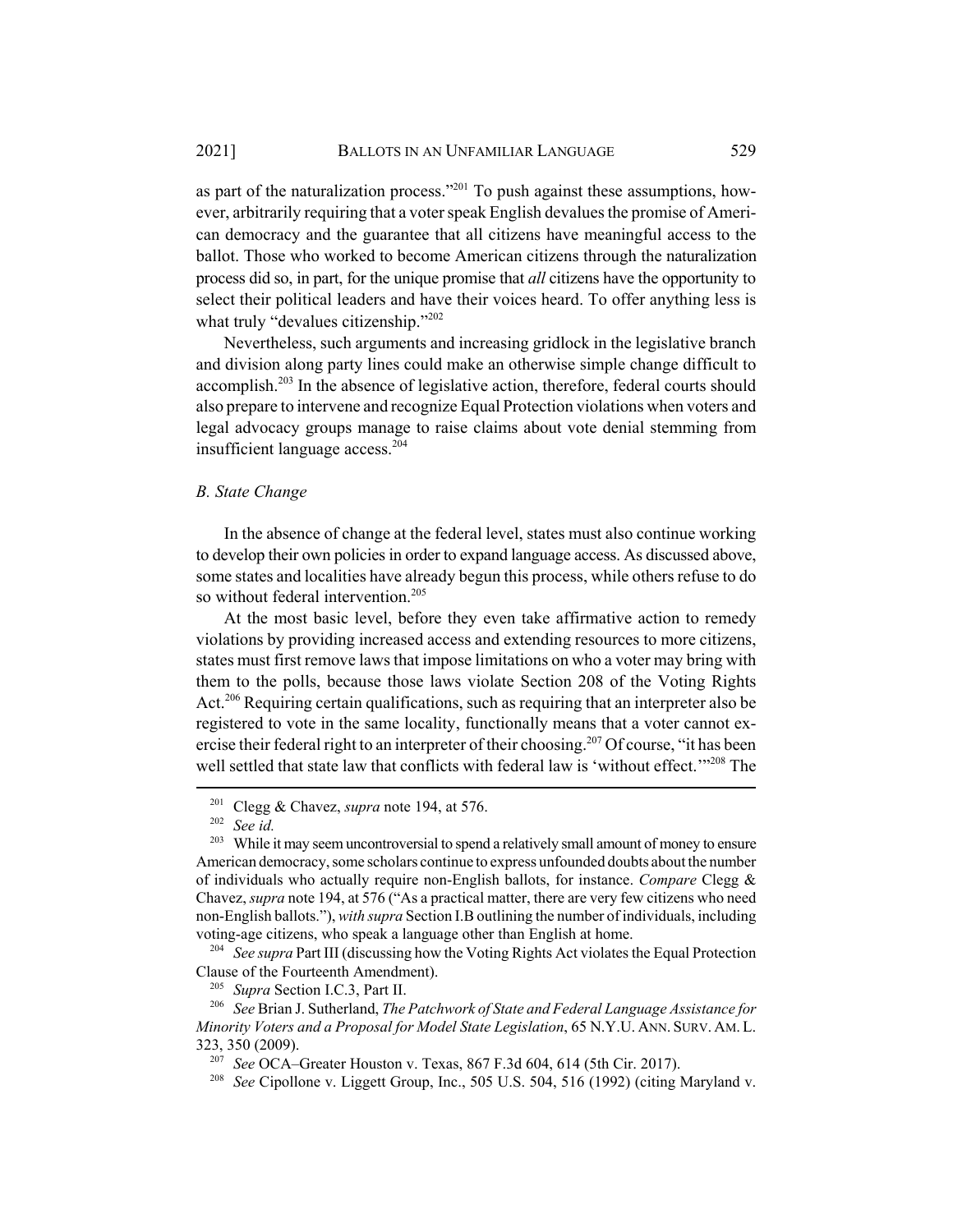as part of the naturalization process."201 To push against these assumptions, however, arbitrarily requiring that a voter speak English devalues the promise of American democracy and the guarantee that all citizens have meaningful access to the ballot. Those who worked to become American citizens through the naturalization process did so, in part, for the unique promise that *all* citizens have the opportunity to select their political leaders and have their voices heard. To offer anything less is what truly "devalues citizenship."<sup>202</sup>

Nevertheless, such arguments and increasing gridlock in the legislative branch and division along party lines could make an otherwise simple change difficult to accomplish.<sup>203</sup> In the absence of legislative action, therefore, federal courts should also prepare to intervene and recognize Equal Protection violations when voters and legal advocacy groups manage to raise claims about vote denial stemming from insufficient language access.204

## *B. State Change*

In the absence of change at the federal level, states must also continue working to develop their own policies in order to expand language access. As discussed above, some states and localities have already begun this process, while others refuse to do so without federal intervention.<sup>205</sup>

At the most basic level, before they even take affirmative action to remedy violations by providing increased access and extending resources to more citizens, states must first remove laws that impose limitations on who a voter may bring with them to the polls, because those laws violate Section 208 of the Voting Rights Act.<sup>206</sup> Requiring certain qualifications, such as requiring that an interpreter also be registered to vote in the same locality, functionally means that a voter cannot exercise their federal right to an interpreter of their choosing.<sup>207</sup> Of course, "it has been well settled that state law that conflicts with federal law is 'without effect.'"<sup>208</sup> The

<sup>201</sup> Clegg & Chavez, *supra* note 194, at 576.

<sup>202</sup> *See id.*

<sup>&</sup>lt;sup>203</sup> While it may seem uncontroversial to spend a relatively small amount of money to ensure American democracy, some scholars continue to express unfounded doubts about the number of individuals who actually require non-English ballots, for instance. *Compare* Clegg & Chavez, *supra* note 194, at 576 ("As a practical matter, there are very few citizens who need non-English ballots."), *with supra* Section I.B outlining the number of individuals, including voting-age citizens, who speak a language other than English at home.

<sup>204</sup> *See supra* Part III (discussing how the Voting Rights Act violates the Equal Protection Clause of the Fourteenth Amendment).

<sup>205</sup> *Supra* Section I.C.3, Part II.

<sup>206</sup> *See* Brian J. Sutherland, *The Patchwork of State and Federal Language Assistance for Minority Voters and a Proposal for Model State Legislation*, 65 N.Y.U. ANN. SURV. AM. L. 323, 350 (2009).

<sup>207</sup> *See* OCA–Greater Houston v. Texas, 867 F.3d 604, 614 (5th Cir. 2017).

<sup>208</sup> *See* Cipollone v. Liggett Group, Inc., 505 U.S. 504, 516 (1992) (citing Maryland v.